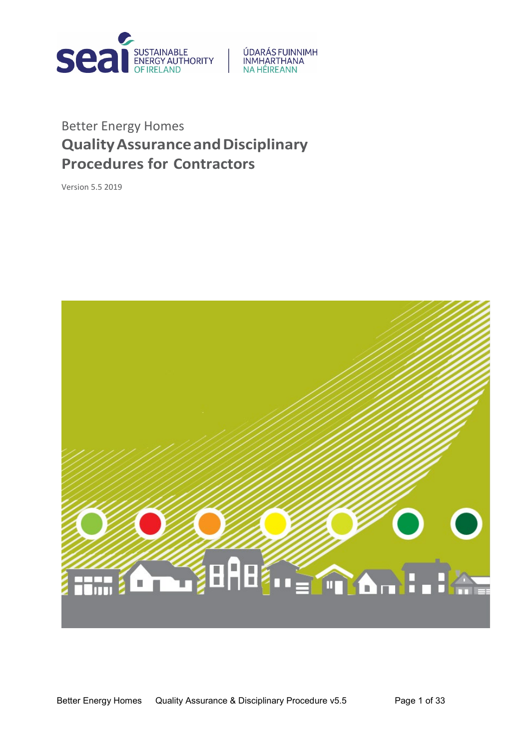

# ÚDARÁS FUINNIMH INMHARTHANA<br>NA HÉIREANN

# Better Energy Homes **QualityAssuranceandDisciplinary Procedures for Contractors**

Version 5.5 2019

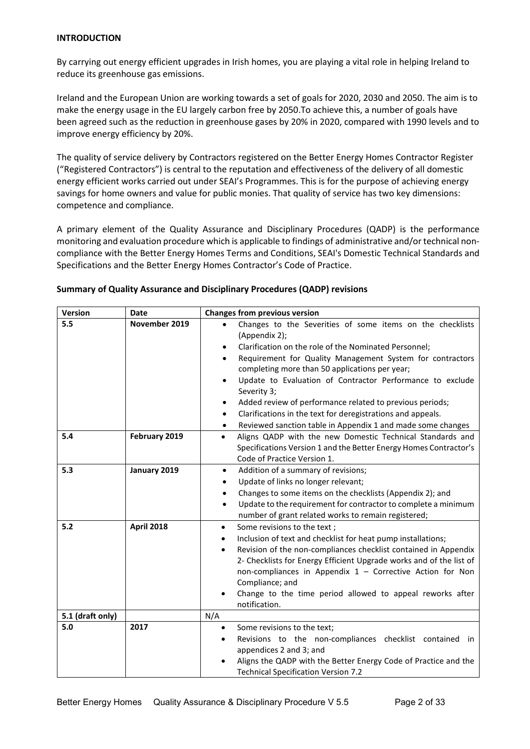#### **INTRODUCTION**

By carrying out energy efficient upgrades in Irish homes, you are playing a vital role in helping Ireland to reduce its greenhouse gas emissions.

Ireland and the European Union are working towards a set of goals for 2020, 2030 and 2050. The aim is to make the energy usage in the EU largely carbon free by 2050.To achieve this, a number of goals have been agreed such as the reduction in greenhouse gases by 20% in 2020, compared with 1990 levels and to improve energy efficiency by 20%.

The quality of service delivery by Contractors registered on the Better Energy Homes Contractor Register ("Registered Contractors") is central to the reputation and effectiveness of the delivery of all domestic energy efficient works carried out under SEAI's Programmes. This is for the purpose of achieving energy savings for home owners and value for public monies. That quality of service has two key dimensions: competence and compliance.

A primary element of the Quality Assurance and Disciplinary Procedures (QADP) is the performance monitoring and evaluation procedure which is applicable to findings of administrative and/or technical noncompliance with the Better Energy Homes Terms and Conditions, SEAI's Domestic Technical Standards and Specifications and the Better Energy Homes Contractor's Code of Practice.

| Version          | <b>Date</b>       | <b>Changes from previous version</b>                                                                                                                                                                                                                                                                                                                                                                                                                                                                                                  |  |
|------------------|-------------------|---------------------------------------------------------------------------------------------------------------------------------------------------------------------------------------------------------------------------------------------------------------------------------------------------------------------------------------------------------------------------------------------------------------------------------------------------------------------------------------------------------------------------------------|--|
| 5.5              | November 2019     | Changes to the Severities of some items on the checklists<br>(Appendix 2);<br>Clarification on the role of the Nominated Personnel;<br>Requirement for Quality Management System for contractors<br>completing more than 50 applications per year;<br>Update to Evaluation of Contractor Performance to exclude<br>$\bullet$<br>Severity 3;<br>Added review of performance related to previous periods;<br>Clarifications in the text for deregistrations and appeals.<br>Reviewed sanction table in Appendix 1 and made some changes |  |
| 5.4              | February 2019     | Aligns QADP with the new Domestic Technical Standards and<br>$\bullet$<br>Specifications Version 1 and the Better Energy Homes Contractor's<br>Code of Practice Version 1.                                                                                                                                                                                                                                                                                                                                                            |  |
| 5.3              | January 2019      | Addition of a summary of revisions;<br>$\bullet$<br>Update of links no longer relevant;<br>Changes to some items on the checklists (Appendix 2); and<br>Update to the requirement for contractor to complete a minimum<br>$\bullet$<br>number of grant related works to remain registered;                                                                                                                                                                                                                                            |  |
| 5.2              | <b>April 2018</b> | Some revisions to the text;<br>$\bullet$<br>Inclusion of text and checklist for heat pump installations;<br>$\bullet$<br>Revision of the non-compliances checklist contained in Appendix<br>$\bullet$<br>2- Checklists for Energy Efficient Upgrade works and of the list of<br>non-compliances in Appendix $1$ – Corrective Action for Non<br>Compliance; and<br>Change to the time period allowed to appeal reworks after<br>notification.                                                                                          |  |
| 5.1 (draft only) |                   | N/A                                                                                                                                                                                                                                                                                                                                                                                                                                                                                                                                   |  |
| 5.0              | 2017              | Some revisions to the text;<br>$\bullet$<br>Revisions to the non-compliances checklist contained in<br>appendices 2 and 3; and<br>Aligns the QADP with the Better Energy Code of Practice and the<br><b>Technical Specification Version 7.2</b>                                                                                                                                                                                                                                                                                       |  |

#### **Summary of Quality Assurance and Disciplinary Procedures (QADP) revisions**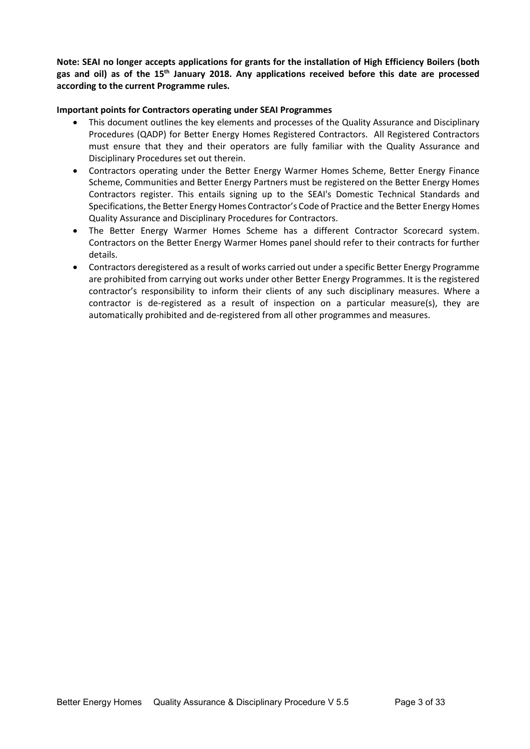**Note: SEAI no longer accepts applications for grants for the installation of High Efficiency Boilers (both gas and oil) as of the 15th January 2018. Any applications received before this date are processed according to the current Programme rules.**

#### **Important points for Contractors operating under SEAI Programmes**

- This document outlines the key elements and processes of the Quality Assurance and Disciplinary Procedures (QADP) for Better Energy Homes Registered Contractors. All Registered Contractors must ensure that they and their operators are fully familiar with the Quality Assurance and Disciplinary Procedures set out therein.
- Contractors operating under the Better Energy Warmer Homes Scheme, Better Energy Finance Scheme, Communities and Better Energy Partners must be registered on the Better Energy Homes Contractors register. This entails signing up to the SEAI's Domestic Technical Standards and Specifications, the Better Energy Homes Contractor's Code of Practice and the Better Energy Homes Quality Assurance and Disciplinary Procedures for Contractors.
- The Better Energy Warmer Homes Scheme has a different Contractor Scorecard system. Contractors on the Better Energy Warmer Homes panel should refer to their contracts for further details.
- Contractors deregistered as a result of works carried out under a specific Better Energy Programme are prohibited from carrying out works under other Better Energy Programmes. It is the registered contractor's responsibility to inform their clients of any such disciplinary measures. Where a contractor is de-registered as a result of inspection on a particular measure(s), they are automatically prohibited and de-registered from all other programmes and measures.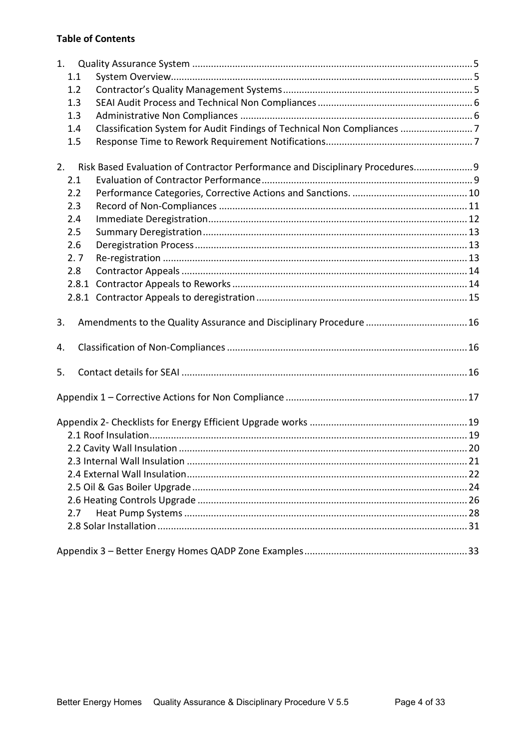## **Table of Contents**

| 1.    |                                                                               |  |
|-------|-------------------------------------------------------------------------------|--|
| 1.1   |                                                                               |  |
| 1.2   |                                                                               |  |
| 1.3   |                                                                               |  |
| 1.3   |                                                                               |  |
| 1.4   | Classification System for Audit Findings of Technical Non Compliances 7       |  |
| 1.5   |                                                                               |  |
| 2.    | Risk Based Evaluation of Contractor Performance and Disciplinary Procedures 9 |  |
| 2.1   |                                                                               |  |
| 2.2   |                                                                               |  |
| 2.3   |                                                                               |  |
| 2.4   |                                                                               |  |
| 2.5   |                                                                               |  |
| 2.6   |                                                                               |  |
| 2.7   |                                                                               |  |
| 2.8   |                                                                               |  |
| 2.8.1 |                                                                               |  |
|       |                                                                               |  |
| 3.    |                                                                               |  |
| 4.    |                                                                               |  |
| 5.    |                                                                               |  |
|       |                                                                               |  |
|       |                                                                               |  |
|       |                                                                               |  |
|       |                                                                               |  |
|       |                                                                               |  |
|       |                                                                               |  |
|       |                                                                               |  |
|       |                                                                               |  |
|       |                                                                               |  |
| 2.7   |                                                                               |  |
|       |                                                                               |  |
|       |                                                                               |  |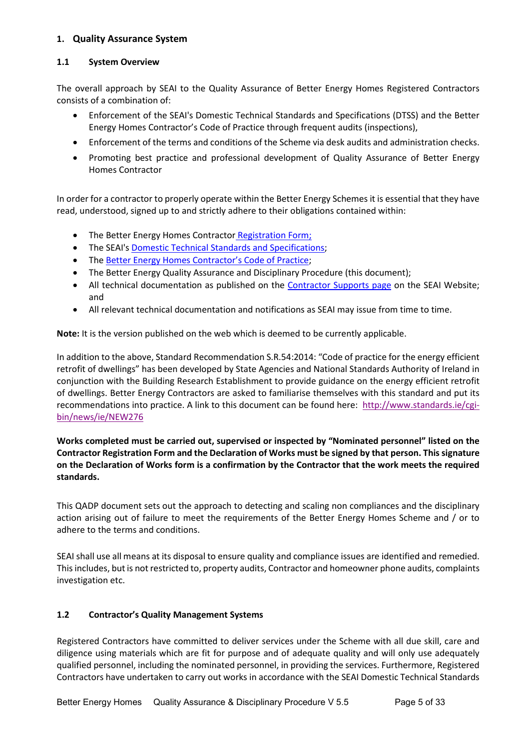## <span id="page-4-0"></span>**1. Quality Assurance System**

## <span id="page-4-1"></span>**1.1 System Overview**

The overall approach by SEAI to the Quality Assurance of Better Energy Homes Registered Contractors consists of a combination of:

- Enforcement of the SEAI's Domestic Technical Standards and Specifications (DTSS) and the Better Energy Homes Contractor's Code of Practice through frequent audits (inspections),
- Enforcement of the terms and conditions of the Scheme via desk audits and administration checks.
- Promoting best practice and professional development of Quality Assurance of Better Energy Homes Contractor

In order for a contractor to properly operate within the Better Energy Schemes it is essential that they have read, understood, signed up to and strictly adhere to their obligations contained within:

- The Better Energy Homes Contractor [Registration Form;](https://www.seai.ie/resources/forms/Contractors-Registration-Form.pdf)
- The SEAI's **Domestic Technical Standards and Specifications**;
- The [Better Energy Homes Contractor's Code of Practice;](https://www.seai.ie/grants/supports-for-contractors/BEH-Contractors-Code-of-Practice.pdf)
- The Better Energy Quality Assurance and Disciplinary Procedure (this document);
- All technical documentation as published on the [Contractor Supports](https://www.seai.ie/energy-in-business/contractor-supports/) page on the SEAI Website; and
- All relevant technical documentation and notifications as SEAI may issue from time to time.

**Note:** It is the version published on the web which is deemed to be currently applicable.

In addition to the above, Standard Recommendation S.R.54:2014: "Code of practice for the energy efficient retrofit of dwellings" has been developed by State Agencies and National Standards Authority of Ireland in conjunction with the Building Research Establishment to provide guidance on the energy efficient retrofit of dwellings. Better Energy Contractors are asked to familiarise themselves with this standard and put its recommendations into practice. A link to this document can be found here: [http://www.standards.ie/cgi](http://www.standards.ie/cgi-bin/news/ie/NEW276)[bin/news/ie/NEW276](http://www.standards.ie/cgi-bin/news/ie/NEW276)

**Works completed must be carried out, supervised or inspected by "Nominated personnel" listed on the Contractor Registration Form and the Declaration of Works must be signed by that person. This signature on the Declaration of Works form is a confirmation by the Contractor that the work meets the required standards.**

This QADP document sets out the approach to detecting and scaling non compliances and the disciplinary action arising out of failure to meet the requirements of the Better Energy Homes Scheme and / or to adhere to the terms and conditions.

SEAI shall use all means at its disposal to ensure quality and compliance issues are identified and remedied. This includes, but is not restricted to, property audits, Contractor and homeowner phone audits, complaints investigation etc.

## <span id="page-4-2"></span>**1.2 Contractor's Quality Management Systems**

Registered Contractors have committed to deliver services under the Scheme with all due skill, care and diligence using materials which are fit for purpose and of adequate quality and will only use adequately qualified personnel, including the nominated personnel, in providing the services. Furthermore, Registered Contractors have undertaken to carry out works in accordance with the SEAI Domestic Technical Standards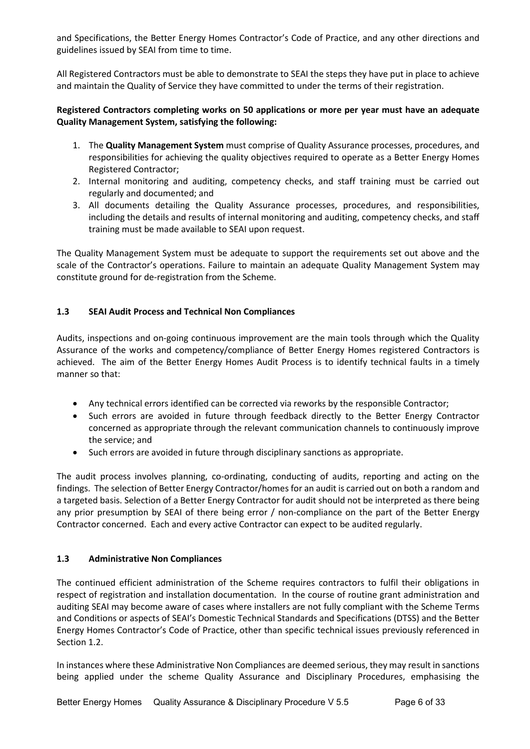and Specifications, the Better Energy Homes Contractor's Code of Practice, and any other directions and guidelines issued by SEAI from time to time.

All Registered Contractors must be able to demonstrate to SEAI the steps they have put in place to achieve and maintain the Quality of Service they have committed to under the terms of their registration.

## **Registered Contractors completing works on 50 applications or more per year must have an adequate Quality Management System, satisfying the following:**

- 1. The **Quality Management System** must comprise of Quality Assurance processes, procedures, and responsibilities for achieving the quality objectives required to operate as a Better Energy Homes Registered Contractor;
- 2. Internal monitoring and auditing, competency checks, and staff training must be carried out regularly and documented; and
- 3. All documents detailing the Quality Assurance processes, procedures, and responsibilities, including the details and results of internal monitoring and auditing, competency checks, and staff training must be made available to SEAI upon request.

The Quality Management System must be adequate to support the requirements set out above and the scale of the Contractor's operations. Failure to maintain an adequate Quality Management System may constitute ground for de-registration from the Scheme.

## <span id="page-5-0"></span>**1.3 SEAI Audit Process and Technical Non Compliances**

Audits, inspections and on-going continuous improvement are the main tools through which the Quality Assurance of the works and competency/compliance of Better Energy Homes registered Contractors is achieved. The aim of the Better Energy Homes Audit Process is to identify technical faults in a timely manner so that:

- Any technical errors identified can be corrected via reworks by the responsible Contractor;
- Such errors are avoided in future through feedback directly to the Better Energy Contractor concerned as appropriate through the relevant communication channels to continuously improve the service; and
- Such errors are avoided in future through disciplinary sanctions as appropriate.

The audit process involves planning, co-ordinating, conducting of audits, reporting and acting on the findings. The selection of Better Energy Contractor/homes for an audit is carried out on both a random and a targeted basis. Selection of a Better Energy Contractor for audit should not be interpreted as there being any prior presumption by SEAI of there being error / non-compliance on the part of the Better Energy Contractor concerned. Each and every active Contractor can expect to be audited regularly.

## <span id="page-5-1"></span>**1.3 Administrative Non Compliances**

The continued efficient administration of the Scheme requires contractors to fulfil their obligations in respect of registration and installation documentation. In the course of routine grant administration and auditing SEAI may become aware of cases where installers are not fully compliant with the Scheme Terms and Conditions or aspects of SEAI's Domestic Technical Standards and Specifications (DTSS) and the Better Energy Homes Contractor's Code of Practice, other than specific technical issues previously referenced in Section [1.2.](#page-5-0)

In instances where these Administrative Non Compliances are deemed serious, they may result in sanctions being applied under the scheme Quality Assurance and Disciplinary Procedures, emphasising the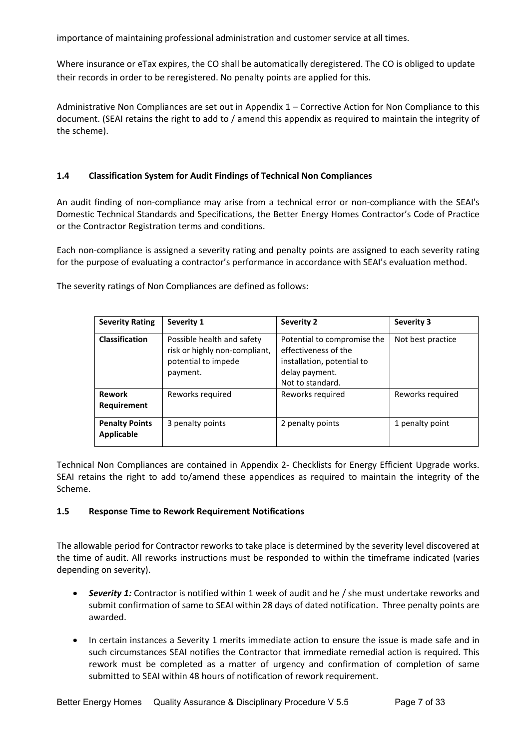importance of maintaining professional administration and customer service at all times.

Where insurance or eTax expires, the CO shall be automatically deregistered. The CO is obliged to update their records in order to be reregistered. No penalty points are applied for this.

Administrative Non Compliances are set out in Appendix 1 – Corrective Action for Non Compliance to this document. (SEAI retains the right to add to / amend this appendix as required to maintain the integrity of the scheme).

## <span id="page-6-0"></span>**1.4 Classification System for Audit Findings of Technical Non Compliances**

An audit finding of non-compliance may arise from a technical error or non-compliance with the SEAI's Domestic Technical Standards and Specifications, the Better Energy Homes Contractor's Code of Practice or the Contractor Registration terms and conditions.

Each non-compliance is assigned a severity rating and penalty points are assigned to each severity rating for the purpose of evaluating a contractor's performance in accordance with SEAI's evaluation method.

The severity ratings of Non Compliances are defined as follows:

| <b>Severity Rating</b>              | Severity 1                                                                                     | <b>Severity 2</b>                                                                                                       | <b>Severity 3</b> |
|-------------------------------------|------------------------------------------------------------------------------------------------|-------------------------------------------------------------------------------------------------------------------------|-------------------|
| <b>Classification</b>               | Possible health and safety<br>risk or highly non-compliant,<br>potential to impede<br>payment. | Potential to compromise the<br>effectiveness of the<br>installation, potential to<br>delay payment.<br>Not to standard. | Not best practice |
| <b>Rework</b><br>Requirement        | Reworks required                                                                               | Reworks required                                                                                                        | Reworks required  |
| <b>Penalty Points</b><br>Applicable | 3 penalty points                                                                               | 2 penalty points                                                                                                        | 1 penalty point   |

Technical Non Compliances are contained in Appendix 2- [Checklists for Energy Efficient Upgrade works.](#page-18-0) SEAI retains the right to add to/amend these appendices as required to maintain the integrity of the Scheme.

## <span id="page-6-1"></span>**1.5 Response Time to Rework Requirement Notifications**

The allowable period for Contractor reworks to take place is determined by the severity level discovered at the time of audit. All reworks instructions must be responded to within the timeframe indicated (varies depending on severity).

- *Severity 1:* Contractor is notified within 1 week of audit and he / she must undertake reworks and submit confirmation of same to SEAI within 28 days of dated notification.Three penalty points are awarded.
- In certain instances a Severity 1 merits immediate action to ensure the issue is made safe and in such circumstances SEAI notifies the Contractor that immediate remedial action is required. This rework must be completed as a matter of urgency and confirmation of completion of same submitted to SEAI within 48 hours of notification of rework requirement.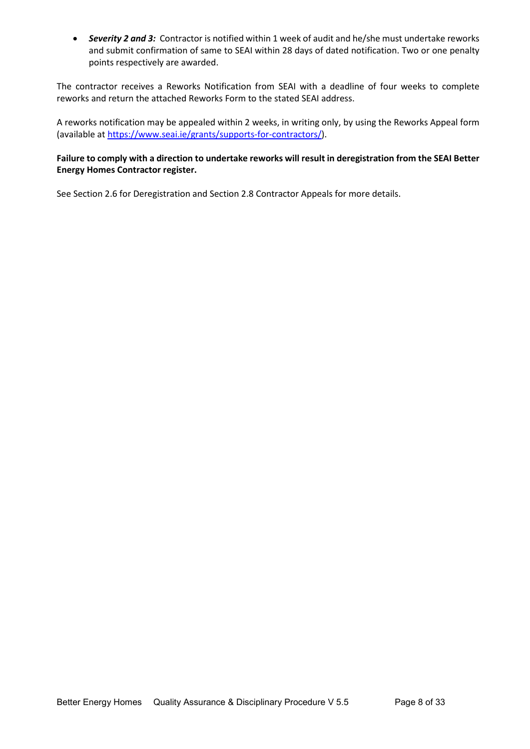• *Severity 2 and 3:* Contractor is notified within 1 week of audit and he/she must undertake reworks and submit confirmation of same to SEAI within 28 days of dated notification. Two or one penalty points respectively are awarded.

The contractor receives a Reworks Notification from SEAI with a deadline of four weeks to complete reworks and return the attached Reworks Form to the stated SEAI address.

A reworks notification may be appealed within 2 weeks, in writing only, by using the Reworks Appeal form (available a[t https://www.seai.ie/grants/supports-for-contractors/\)](https://www.seai.ie/grants/supports-for-contractors/).

## **Failure to comply with a direction to undertake reworks will result in deregistration from the SEAI Better Energy Homes Contractor register.**

See Sectio[n 2.6](#page-12-1) for Deregistration and Section [2.8 Contractor Appeals](#page-13-0) for more details.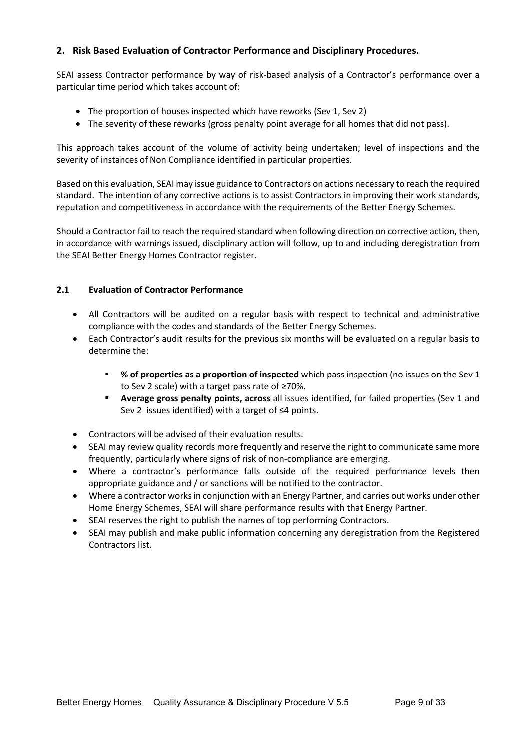## <span id="page-8-0"></span>**2. Risk Based Evaluation of Contractor Performance and Disciplinary Procedures.**

SEAI assess Contractor performance by way of risk-based analysis of a Contractor's performance over a particular time period which takes account of:

- The proportion of houses inspected which have reworks (Sev 1, Sev 2)
- The severity of these reworks (gross penalty point average for all homes that did not pass).

This approach takes account of the volume of activity being undertaken; level of inspections and the severity of instances of Non Compliance identified in particular properties.

Based on this evaluation, SEAI may issue guidance to Contractors on actions necessary to reach the required standard. The intention of any corrective actions is to assist Contractors in improving their work standards, reputation and competitiveness in accordance with the requirements of the Better Energy Schemes.

Should a Contractor fail to reach the required standard when following direction on corrective action, then, in accordance with warnings issued, disciplinary action will follow, up to and including deregistration from the SEAI Better Energy Homes Contractor register.

## <span id="page-8-1"></span>**2.1 Evaluation of Contractor Performance**

- All Contractors will be audited on a regular basis with respect to technical and administrative compliance with the codes and standards of the Better Energy Schemes.
- Each Contractor's audit results for the previous six months will be evaluated on a regular basis to determine the:
	- **% of properties as a proportion of inspected** which pass inspection (no issues on the Sev 1 to Sev 2 scale) with a target pass rate of ≥70%.
	- **Average gross penalty points, across** all issues identified, for failed properties (Sev 1 and Sev 2 issues identified) with a target of ≤4 points.
- Contractors will be advised of their evaluation results.
- SEAI may review quality records more frequently and reserve the right to communicate same more frequently, particularly where signs of risk of non-compliance are emerging.
- Where a contractor's performance falls outside of the required performance levels then appropriate guidance and / or sanctions will be notified to the contractor.
- Where a contractor works in conjunction with an Energy Partner, and carries out works under other Home Energy Schemes, SEAI will share performance results with that Energy Partner.
- SEAI reserves the right to publish the names of top performing Contractors.
- SEAI may publish and make public information concerning any deregistration from the Registered Contractors list.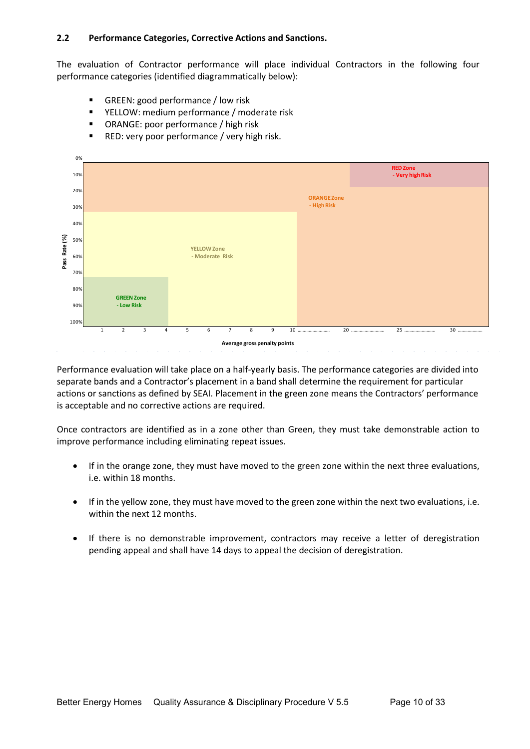#### <span id="page-9-0"></span>**2.2 Performance Categories, Corrective Actions and Sanctions.**

The evaluation of Contractor performance will place individual Contractors in the following four performance categories (identified diagrammatically below):

- GREEN: good performance / low risk
- YELLOW: medium performance / moderate risk
- ORANGE: poor performance / high risk
- **RED: very poor performance / very high risk.**



Performance evaluation will take place on a half-yearly basis. The performance categories are divided into separate bands and a Contractor's placement in a band shall determine the requirement for particular actions or sanctions as defined by SEAI. Placement in the green zone means the Contractors' performance is acceptable and no corrective actions are required.

Once contractors are identified as in a zone other than Green, they must take demonstrable action to improve performance including eliminating repeat issues.

- If in the orange zone, they must have moved to the green zone within the next three evaluations, i.e. within 18 months.
- If in the yellow zone, they must have moved to the green zone within the next two evaluations, i.e. within the next 12 months.
- If there is no demonstrable improvement, contractors may receive a letter of deregistration pending appeal and shall have 14 days to appeal the decision of deregistration.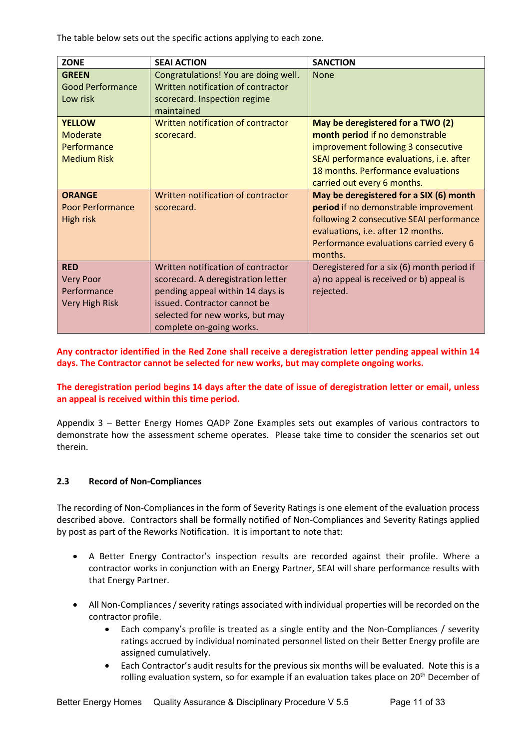The table below sets out the specific actions applying to each zone.

| <b>ZONE</b>                                                            | <b>SEAI ACTION</b>                                                                                                                                                                                          | <b>SANCTION</b>                                                                                                                                                                                                              |
|------------------------------------------------------------------------|-------------------------------------------------------------------------------------------------------------------------------------------------------------------------------------------------------------|------------------------------------------------------------------------------------------------------------------------------------------------------------------------------------------------------------------------------|
| <b>GREEN</b><br><b>Good Performance</b><br>Low risk                    | Congratulations! You are doing well.<br>Written notification of contractor<br>scorecard. Inspection regime<br>maintained                                                                                    | <b>None</b>                                                                                                                                                                                                                  |
| <b>YELLOW</b><br>Moderate<br>Performance<br><b>Medium Risk</b>         | Written notification of contractor<br>scorecard.                                                                                                                                                            | May be deregistered for a TWO (2)<br>month period if no demonstrable<br>improvement following 3 consecutive<br>SEAI performance evaluations, i.e. after<br>18 months. Performance evaluations<br>carried out every 6 months. |
| <b>ORANGE</b><br><b>Poor Performance</b><br>High risk                  | Written notification of contractor<br>scorecard.                                                                                                                                                            | May be deregistered for a SIX (6) month<br>period if no demonstrable improvement<br>following 2 consecutive SEAI performance<br>evaluations, i.e. after 12 months.<br>Performance evaluations carried every 6<br>months.     |
| <b>RED</b><br><b>Very Poor</b><br>Performance<br><b>Very High Risk</b> | Written notification of contractor<br>scorecard. A deregistration letter<br>pending appeal within 14 days is<br>issued. Contractor cannot be<br>selected for new works, but may<br>complete on-going works. | Deregistered for a six (6) month period if<br>a) no appeal is received or b) appeal is<br>rejected.                                                                                                                          |

**Any contractor identified in the Red Zone shall receive a deregistration letter pending appeal within 14 days. The Contractor cannot be selected for new works, but may complete ongoing works.**

**The deregistration period begins 14 days after the date of issue of deregistration letter or email, unless an appeal is received within this time period.** 

Appendix 3 – [Better Energy Homes QADP Zone Examples](#page-32-0) sets out examples of various contractors to demonstrate how the assessment scheme operates. Please take time to consider the scenarios set out therein.

## <span id="page-10-0"></span>**2.3 Record of Non-Compliances**

The recording of Non-Compliances in the form of Severity Ratings is one element of the evaluation process described above. Contractors shall be formally notified of Non-Compliances and Severity Ratings applied by post as part of the Reworks Notification. It is important to note that:

- A Better Energy Contractor's inspection results are recorded against their profile. Where a contractor works in conjunction with an Energy Partner, SEAI will share performance results with that Energy Partner.
- All Non-Compliances/ severity ratings associated with individual properties will be recorded on the contractor profile.
	- Each company's profile is treated as a single entity and the Non-Compliances / severity ratings accrued by individual nominated personnel listed on their Better Energy profile are assigned cumulatively.
	- Each Contractor's audit results for the previous six months will be evaluated. Note this is a rolling evaluation system, so for example if an evaluation takes place on 20<sup>th</sup> December of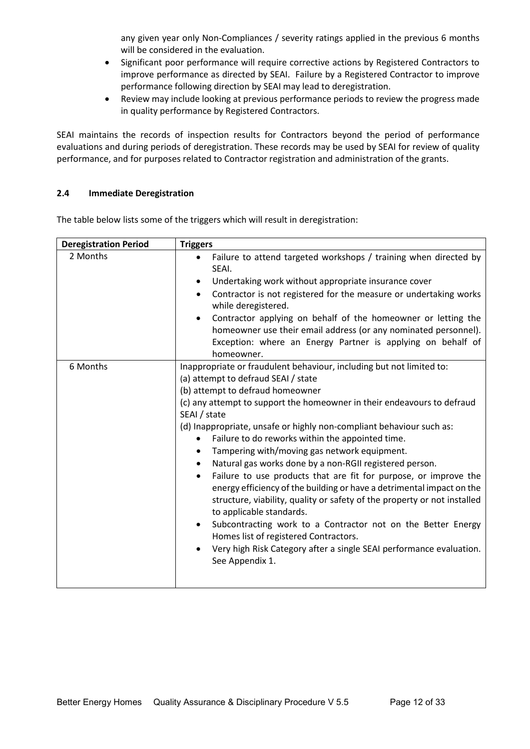any given year only Non-Compliances / severity ratings applied in the previous 6 months will be considered in the evaluation.

- Significant poor performance will require corrective actions by Registered Contractors to improve performance as directed by SEAI. Failure by a Registered Contractor to improve performance following direction by SEAI may lead to deregistration.
- Review may include looking at previous performance periods to review the progress made in quality performance by Registered Contractors.

SEAI maintains the records of inspection results for Contractors beyond the period of performance evaluations and during periods of deregistration. These records may be used by SEAI for review of quality performance, and for purposes related to Contractor registration and administration of the grants.

#### <span id="page-11-0"></span>**2.4 Immediate Deregistration**

<span id="page-11-1"></span>

| <b>Deregistration Period</b> | <b>Triggers</b>                                                                                                                                                                                                                                   |  |  |  |
|------------------------------|---------------------------------------------------------------------------------------------------------------------------------------------------------------------------------------------------------------------------------------------------|--|--|--|
| 2 Months                     | Failure to attend targeted workshops / training when directed by<br>$\bullet$<br>SEAI.                                                                                                                                                            |  |  |  |
|                              | Undertaking work without appropriate insurance cover                                                                                                                                                                                              |  |  |  |
|                              | Contractor is not registered for the measure or undertaking works<br>while deregistered.                                                                                                                                                          |  |  |  |
|                              | Contractor applying on behalf of the homeowner or letting the<br>homeowner use their email address (or any nominated personnel).<br>Exception: where an Energy Partner is applying on behalf of<br>homeowner.                                     |  |  |  |
| 6 Months                     | Inappropriate or fraudulent behaviour, including but not limited to:<br>(a) attempt to defraud SEAI / state                                                                                                                                       |  |  |  |
|                              | (b) attempt to defraud homeowner                                                                                                                                                                                                                  |  |  |  |
|                              | (c) any attempt to support the homeowner in their endeavours to defraud                                                                                                                                                                           |  |  |  |
|                              | SEAI / state                                                                                                                                                                                                                                      |  |  |  |
|                              | (d) Inappropriate, unsafe or highly non-compliant behaviour such as:                                                                                                                                                                              |  |  |  |
|                              | Failure to do reworks within the appointed time.                                                                                                                                                                                                  |  |  |  |
|                              | Tampering with/moving gas network equipment.                                                                                                                                                                                                      |  |  |  |
|                              | Natural gas works done by a non-RGII registered person.                                                                                                                                                                                           |  |  |  |
|                              | Failure to use products that are fit for purpose, or improve the<br>energy efficiency of the building or have a detrimental impact on the<br>structure, viability, quality or safety of the property or not installed<br>to applicable standards. |  |  |  |
|                              | Subcontracting work to a Contractor not on the Better Energy<br>Homes list of registered Contractors.                                                                                                                                             |  |  |  |
|                              | Very high Risk Category after a single SEAI performance evaluation.<br>See Appendix 1.                                                                                                                                                            |  |  |  |
|                              |                                                                                                                                                                                                                                                   |  |  |  |

The table below lists some of the triggers which will result in deregistration: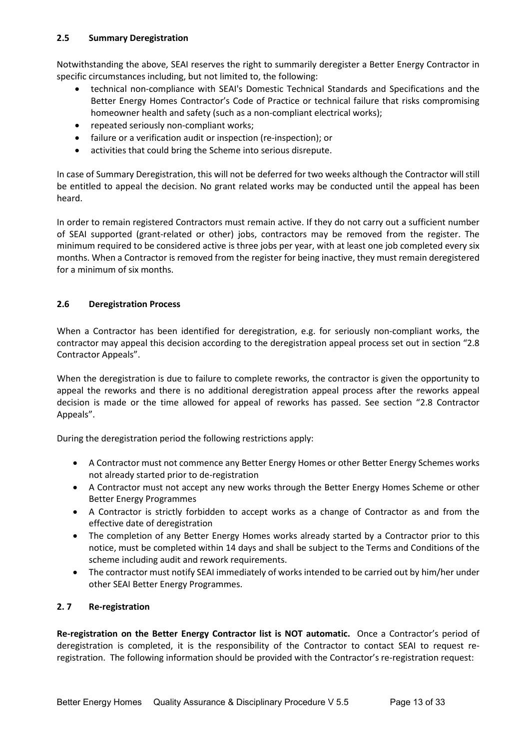<span id="page-12-0"></span>Notwithstanding the above, SEAI reserves the right to summarily deregister a Better Energy Contractor in specific circumstances including, but not limited to, the following:

- technical non-compliance with SEAI's Domestic Technical Standards and Specifications and the Better Energy Homes Contractor's Code of Practice or technical failure that risks compromising homeowner health and safety (such as a non-compliant electrical works);
- repeated seriously non-compliant works;
- failure or a verification audit or inspection (re-inspection); or
- activities that could bring the Scheme into serious disrepute.

In case of Summary Deregistration, this will not be deferred for two weeks although the Contractor will still be entitled to appeal the decision. No grant related works may be conducted until the appeal has been heard.

In order to remain registered Contractors must remain active. If they do not carry out a sufficient number of SEAI supported (grant-related or other) jobs, contractors may be removed from the register. The minimum required to be considered active is three jobs per year, with at least one job completed every six months. When a Contractor is removed from the register for being inactive, they must remain deregistered for a minimum of six months.

## <span id="page-12-1"></span>**2.6 Deregistration Process**

When a Contractor has been identified for deregistration, e.g. for seriously non-compliant works, the contractor may appeal this decision according to the deregistration appeal process set out in section ["2.8](#page-13-0)  [Contractor Appeals"](#page-13-0).

When the deregistration is due to failure to complete reworks, the contractor is given the opportunity to appeal the reworks and there is no additional deregistration appeal process after the reworks appeal decision is made or the time allowed for appeal of reworks has passed. See section "2.8 [Contractor](#page-13-0)  [Appeals"](#page-13-0).

During the deregistration period the following restrictions apply:

- A Contractor must not commence any Better Energy Homes or other Better Energy Schemes works not already started prior to de-registration
- A Contractor must not accept any new works through the Better Energy Homes Scheme or other Better Energy Programmes
- A Contractor is strictly forbidden to accept works as a change of Contractor as and from the effective date of deregistration
- The completion of any Better Energy Homes works already started by a Contractor prior to this notice, must be completed within 14 days and shall be subject to the Terms and Conditions of the scheme including audit and rework requirements.
- The contractor must notify SEAI immediately of works intended to be carried out by him/her under other SEAI Better Energy Programmes.

## <span id="page-12-2"></span>**2. 7 Re-registration**

**Re-registration on the Better Energy Contractor list is NOT automatic.** Once a Contractor's period of deregistration is completed, it is the responsibility of the Contractor to contact SEAI to request reregistration. The following information should be provided with the Contractor's re-registration request: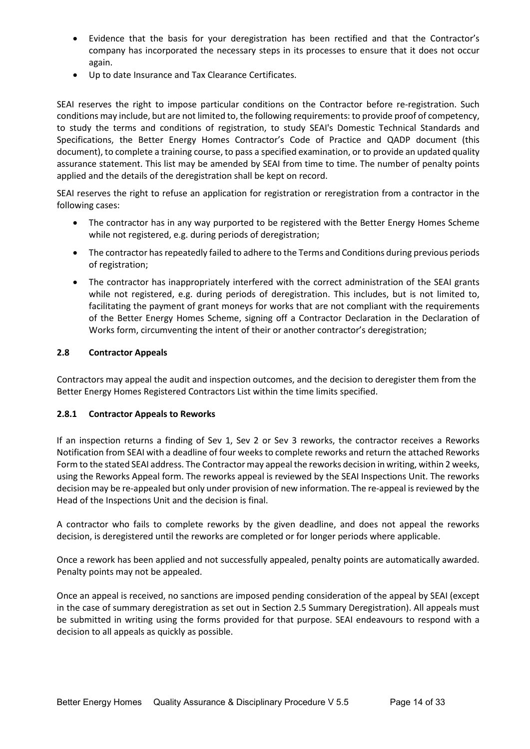- Evidence that the basis for your deregistration has been rectified and that the Contractor's company has incorporated the necessary steps in its processes to ensure that it does not occur again.
- Up to date Insurance and Tax Clearance Certificates.

SEAI reserves the right to impose particular conditions on the Contractor before re-registration. Such conditions may include, but are not limited to, the following requirements: to provide proof of competency, to study the terms and conditions of registration, to study SEAI's Domestic Technical Standards and Specifications, the Better Energy Homes Contractor's Code of Practice and QADP document (this document), to complete a training course, to pass a specified examination, or to provide an updated quality assurance statement. This list may be amended by SEAI from time to time. The number of penalty points applied and the details of the deregistration shall be kept on record.

SEAI reserves the right to refuse an application for registration or reregistration from a contractor in the following cases:

- The contractor has in any way purported to be registered with the Better Energy Homes Scheme while not registered, e.g. during periods of deregistration;
- The contractor has repeatedly failed to adhere to the Terms and Conditions during previous periods of registration;
- The contractor has inappropriately interfered with the correct administration of the SEAI grants while not registered, e.g. during periods of deregistration. This includes, but is not limited to, facilitating the payment of grant moneys for works that are not compliant with the requirements of the Better Energy Homes Scheme, signing off a Contractor Declaration in the Declaration of Works form, circumventing the intent of their or another contractor's deregistration;

#### <span id="page-13-0"></span>**2.8 Contractor Appeals**

Contractors may appeal the audit and inspection outcomes, and the decision to deregister them from the Better Energy Homes Registered Contractors List within the time limits specified.

#### <span id="page-13-1"></span>**2.8.1 Contractor Appeals to Reworks**

If an inspection returns a finding of Sev 1, Sev 2 or Sev 3 reworks, the contractor receives a Reworks Notification from SEAI with a deadline of four weeks to complete reworks and return the attached Reworks Form to the stated SEAI address. The Contractor may appeal the reworks decision in writing, within 2 weeks, using the Reworks Appeal form. The reworks appeal is reviewed by the SEAI Inspections Unit. The reworks decision may be re-appealed but only under provision of new information. The re-appeal is reviewed by the Head of the Inspections Unit and the decision is final.

A contractor who fails to complete reworks by the given deadline, and does not appeal the reworks decision, is deregistered until the reworks are completed or for longer periods where applicable.

Once a rework has been applied and not successfully appealed, penalty points are automatically awarded. Penalty points may not be appealed.

Once an appeal is received, no sanctions are imposed pending consideration of the appeal by SEAI (except in the case of summary deregistration as set out in Section [2.5 Summary Deregistration\)](#page-11-1). All appeals must be submitted in writing using the forms provided for that purpose. SEAI endeavours to respond with a decision to all appeals as quickly as possible.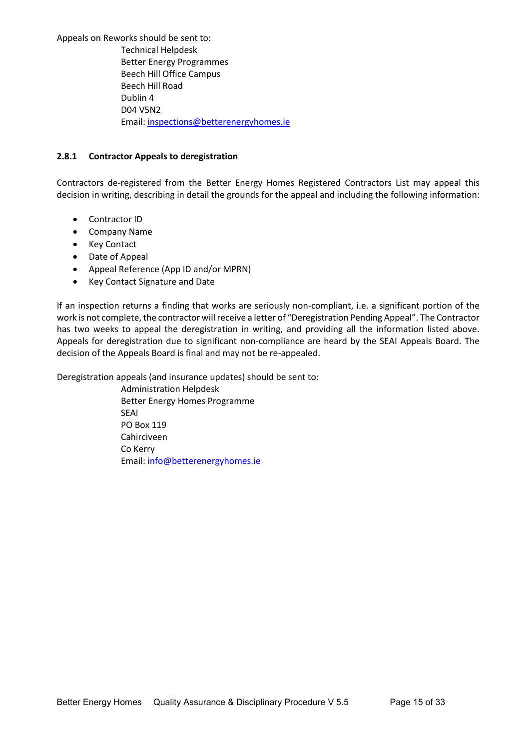Appeals on Reworks should be sent to: Technical Helpdesk Better Energy Programmes Beech Hill Office Campus Beech Hill Road Dublin 4 D04 V5N2 Email[: inspections@betterenergyhomes.ie](mailto:inspections@betterenergyhomes.ie)

#### <span id="page-14-0"></span>**2.8.1 Contractor Appeals to deregistration**

Contractors de-registered from the Better Energy Homes Registered Contractors List may appeal this decision in writing, describing in detail the grounds for the appeal and including the following information:

- Contractor ID
- Company Name
- Key Contact
- Date of Appeal
- Appeal Reference (App ID and/or MPRN)
- Key Contact Signature and Date

If an inspection returns a finding that works are seriously non-compliant, i.e. a significant portion of the work is not complete, the contractor will receive a letter of "Deregistration Pending Appeal". The Contractor has two weeks to appeal the deregistration in writing, and providing all the information listed above. Appeals for deregistration due to significant non-compliance are heard by the SEAI Appeals Board. The decision of the Appeals Board is final and may not be re-appealed.

Deregistration appeals (and insurance updates) should be sent to:

Administration Helpdesk Better Energy Homes Programme SEAI PO Box 119 Cahirciveen Co Kerry Email[: info@betterenergyhomes.ie](mailto:info@betterenergyhomes.ie)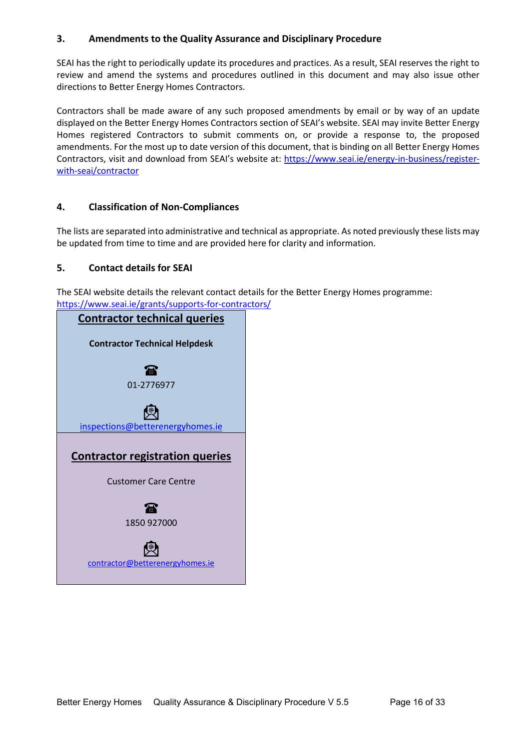## <span id="page-15-0"></span>**3. Amendments to the Quality Assurance and Disciplinary Procedure**

SEAI has the right to periodically update its procedures and practices. As a result, SEAI reserves the right to review and amend the systems and procedures outlined in this document and may also issue other directions to Better Energy Homes Contractors.

Contractors shall be made aware of any such proposed amendments by email or by way of an update displayed on the Better Energy Homes Contractors section of SEAI's website. SEAI may invite Better Energy Homes registered Contractors to submit comments on, or provide a response to, the proposed amendments. For the most up to date version of this document, that is binding on all Better Energy Homes Contractors, visit and download from SEAI's website at: [https://www.seai.ie/energy-in-business/register](https://www.seai.ie/energy-in-business/register-with-seai/contractor)[with-seai/contractor](https://www.seai.ie/energy-in-business/register-with-seai/contractor)

## <span id="page-15-1"></span>**4. Classification of Non-Compliances**

The lists are separated into administrative and technical as appropriate. As noted previously these lists may be updated from time to time and are provided here for clarity and information.

## <span id="page-15-2"></span>**5. Contact details for SEAI**

The SEAI website details the relevant contact details for the Better Energy Homes programme: <https://www.seai.ie/grants/supports-for-contractors/>

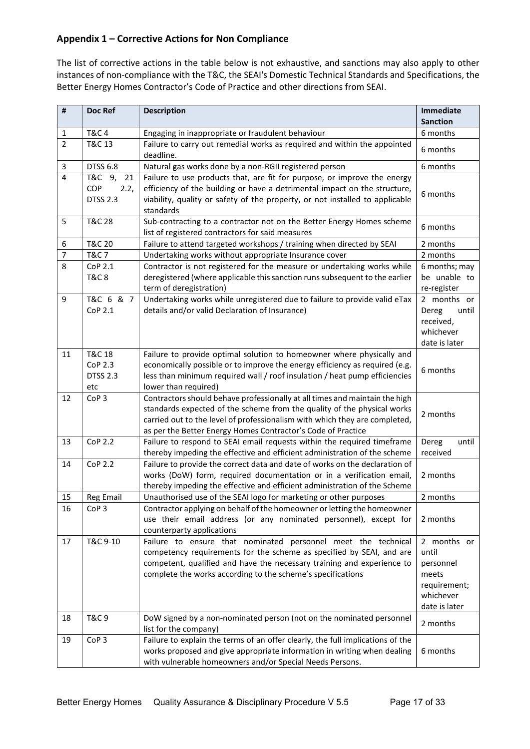## <span id="page-16-0"></span>**Appendix 1 – Corrective Actions for Non Compliance**

The list of corrective actions in the table below is not exhaustive, and sanctions may also apply to other instances of non-compliance with the T&C, the SEAI's Domestic Technical Standards and Specifications, the Better Energy Homes Contractor's Code of Practice and other directions from SEAI.

| #                       | Doc Ref                                                | <b>Description</b>                                                                                                                                                                                                                                                                                   | <b>Immediate</b><br><b>Sanction</b>                                                      |
|-------------------------|--------------------------------------------------------|------------------------------------------------------------------------------------------------------------------------------------------------------------------------------------------------------------------------------------------------------------------------------------------------------|------------------------------------------------------------------------------------------|
| 1                       | <b>T&amp;C4</b>                                        | Engaging in inappropriate or fraudulent behaviour                                                                                                                                                                                                                                                    | 6 months                                                                                 |
| $\overline{2}$          | T&C 13                                                 | Failure to carry out remedial works as required and within the appointed                                                                                                                                                                                                                             |                                                                                          |
|                         |                                                        | deadline.                                                                                                                                                                                                                                                                                            | 6 months                                                                                 |
| 3                       | <b>DTSS 6.8</b>                                        | Natural gas works done by a non-RGII registered person                                                                                                                                                                                                                                               | 6 months                                                                                 |
| $\overline{\mathbf{4}}$ | T&C 9,<br>21<br>COP<br>2.2,<br><b>DTSS 2.3</b>         | Failure to use products that, are fit for purpose, or improve the energy<br>efficiency of the building or have a detrimental impact on the structure,<br>viability, quality or safety of the property, or not installed to applicable<br>standards                                                   | 6 months                                                                                 |
| 5                       | <b>T&amp;C 28</b>                                      | Sub-contracting to a contractor not on the Better Energy Homes scheme<br>list of registered contractors for said measures                                                                                                                                                                            | 6 months                                                                                 |
| 6                       | <b>T&amp;C 20</b>                                      | Failure to attend targeted workshops / training when directed by SEAI                                                                                                                                                                                                                                | 2 months                                                                                 |
| $\overline{7}$          | <b>T&amp;C7</b>                                        | Undertaking works without appropriate Insurance cover                                                                                                                                                                                                                                                | 2 months                                                                                 |
| 8                       | CoP 2.1<br><b>T&amp;C8</b>                             | Contractor is not registered for the measure or undertaking works while<br>deregistered (where applicable this sanction runs subsequent to the earlier<br>term of deregistration)                                                                                                                    | 6 months; may<br>be unable to<br>re-register                                             |
| 9                       | T&C 6 & 7<br>CoP 2.1                                   | Undertaking works while unregistered due to failure to provide valid eTax<br>details and/or valid Declaration of Insurance)                                                                                                                                                                          | 2 months or<br>Dereg<br>until<br>received,<br>whichever<br>date is later                 |
| 11                      | <b>T&amp;C 18</b><br>CoP 2.3<br><b>DTSS 2.3</b><br>etc | Failure to provide optimal solution to homeowner where physically and<br>economically possible or to improve the energy efficiency as required (e.g.<br>less than minimum required wall / roof insulation / heat pump efficiencies<br>lower than required)                                           | 6 months                                                                                 |
| 12                      | CoP <sub>3</sub>                                       | Contractors should behave professionally at all times and maintain the high<br>standards expected of the scheme from the quality of the physical works<br>carried out to the level of professionalism with which they are completed,<br>as per the Better Energy Homes Contractor's Code of Practice | 2 months                                                                                 |
| 13                      | <b>CoP 2.2</b>                                         | Failure to respond to SEAI email requests within the required timeframe<br>thereby impeding the effective and efficient administration of the scheme                                                                                                                                                 | Dereg<br>until<br>received                                                               |
| 14                      | <b>CoP 2.2</b>                                         | Failure to provide the correct data and date of works on the declaration of<br>works (DoW) form, required documentation or in a verification email,<br>thereby impeding the effective and efficient administration of the Scheme                                                                     | 2 months                                                                                 |
| 15                      | <b>Reg Email</b>                                       | Unauthorised use of the SEAI logo for marketing or other purposes                                                                                                                                                                                                                                    | 2 months                                                                                 |
| 16                      | CoP <sub>3</sub>                                       | Contractor applying on behalf of the homeowner or letting the homeowner<br>use their email address (or any nominated personnel), except for<br>counterparty applications                                                                                                                             | 2 months                                                                                 |
| 17                      | T&C 9-10                                               | Failure to ensure that nominated personnel meet the technical<br>competency requirements for the scheme as specified by SEAI, and are<br>competent, qualified and have the necessary training and experience to<br>complete the works according to the scheme's specifications                       | 2 months or<br>until<br>personnel<br>meets<br>requirement;<br>whichever<br>date is later |
| 18                      | <b>T&amp;C 9</b>                                       | DoW signed by a non-nominated person (not on the nominated personnel<br>list for the company)                                                                                                                                                                                                        | 2 months                                                                                 |
| 19                      | CoP <sub>3</sub>                                       | Failure to explain the terms of an offer clearly, the full implications of the<br>works proposed and give appropriate information in writing when dealing<br>with vulnerable homeowners and/or Special Needs Persons.                                                                                | 6 months                                                                                 |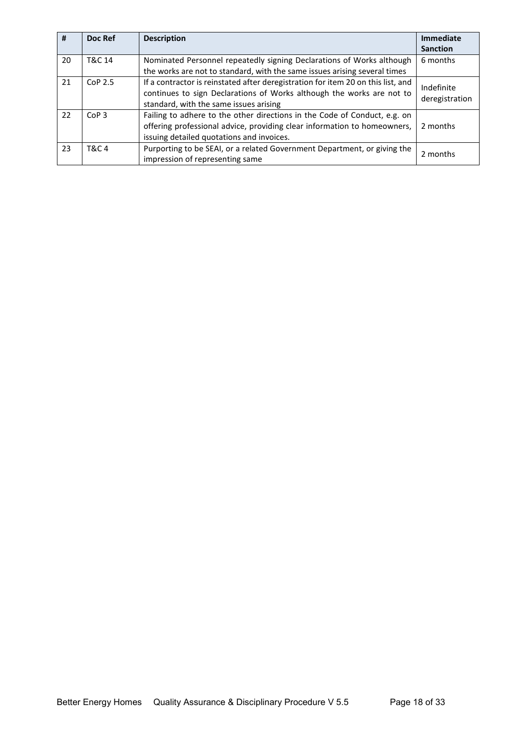| #  | Doc Ref          | <b>Description</b>                                                                                                                                                                                  | <b>Immediate</b><br><b>Sanction</b> |
|----|------------------|-----------------------------------------------------------------------------------------------------------------------------------------------------------------------------------------------------|-------------------------------------|
| 20 | T&C 14           | Nominated Personnel repeatedly signing Declarations of Works although<br>the works are not to standard, with the same issues arising several times                                                  | 6 months                            |
| 21 | $C0P$ 2.5        | If a contractor is reinstated after deregistration for item 20 on this list, and<br>continues to sign Declarations of Works although the works are not to<br>standard, with the same issues arising | Indefinite<br>deregistration        |
| 22 | CoP <sub>3</sub> | Failing to adhere to the other directions in the Code of Conduct, e.g. on<br>offering professional advice, providing clear information to homeowners,<br>issuing detailed quotations and invoices.  | 2 months                            |
| 23 | <b>T&amp;C4</b>  | Purporting to be SEAI, or a related Government Department, or giving the<br>impression of representing same                                                                                         | 2 months                            |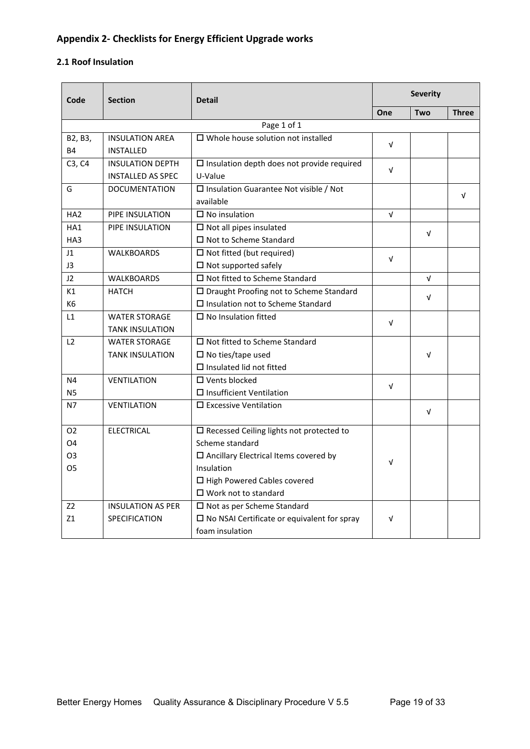# <span id="page-18-0"></span>**Appendix 2- Checklists for Energy Efficient Upgrade works**

#### <span id="page-18-1"></span>**2.1 Roof Insulation**

| Code            | <b>Section</b>           | <b>Detail</b>                                         | <b>Severity</b> |            |              |  |
|-----------------|--------------------------|-------------------------------------------------------|-----------------|------------|--------------|--|
|                 |                          |                                                       | One             | Two        | <b>Three</b> |  |
|                 | Page 1 of 1              |                                                       |                 |            |              |  |
| B2, B3,         | <b>INSULATION AREA</b>   | $\square$ Whole house solution not installed          | $\sqrt{ }$      |            |              |  |
| <b>B4</b>       | <b>INSTALLED</b>         |                                                       |                 |            |              |  |
| C3, C4          | <b>INSULATION DEPTH</b>  | $\square$ Insulation depth does not provide required  | $\sqrt{ }$      |            |              |  |
|                 | <b>INSTALLED AS SPEC</b> | U-Value                                               |                 |            |              |  |
| G               | <b>DOCUMENTATION</b>     | $\square$ Insulation Guarantee Not visible / Not      |                 |            | V            |  |
|                 |                          | available                                             |                 |            |              |  |
| HA <sub>2</sub> | PIPE INSULATION          | $\square$ No insulation                               | $\sqrt{ }$      |            |              |  |
| HA <sub>1</sub> | PIPE INSULATION          | $\Box$ Not all pipes insulated                        |                 | $\sqrt{ }$ |              |  |
| HA3             |                          | $\Box$ Not to Scheme Standard                         |                 |            |              |  |
| 11              | <b>WALKBOARDS</b>        | $\Box$ Not fitted (but required)                      | $\sqrt{ }$      |            |              |  |
| J3              |                          | $\square$ Not supported safely                        |                 |            |              |  |
| J2              | <b>WALKBOARDS</b>        | □ Not fitted to Scheme Standard                       |                 | $\sqrt{ }$ |              |  |
| K1              | <b>HATCH</b>             | □ Draught Proofing not to Scheme Standard             |                 | $\sqrt{ }$ |              |  |
| K <sub>6</sub>  |                          | □ Insulation not to Scheme Standard                   |                 |            |              |  |
| L1              | <b>WATER STORAGE</b>     | $\square$ No Insulation fitted                        | $\sqrt{ }$      |            |              |  |
|                 | <b>TANK INSULATION</b>   |                                                       |                 |            |              |  |
| L2              | <b>WATER STORAGE</b>     | $\Box$ Not fitted to Scheme Standard                  |                 |            |              |  |
|                 | <b>TANK INSULATION</b>   | $\square$ No ties/tape used                           |                 | $\sqrt{ }$ |              |  |
|                 |                          | $\Box$ Insulated lid not fitted                       |                 |            |              |  |
| N <sub>4</sub>  | <b>VENTILATION</b>       | $\Box$ Vents blocked                                  | $\sqrt{ }$      |            |              |  |
| <b>N5</b>       |                          | $\square$ Insufficient Ventilation                    |                 |            |              |  |
| N7              | <b>VENTILATION</b>       | $\Box$ Excessive Ventilation                          |                 | V          |              |  |
|                 |                          |                                                       |                 |            |              |  |
| O <sub>2</sub>  | <b>ELECTRICAL</b>        | $\square$ Recessed Ceiling lights not protected to    |                 |            |              |  |
| O <sub>4</sub>  |                          | Scheme standard                                       |                 |            |              |  |
| O <sub>3</sub>  |                          | $\square$ Ancillary Electrical Items covered by       | $\sqrt{ }$      |            |              |  |
| O <sub>5</sub>  |                          | Insulation                                            |                 |            |              |  |
|                 |                          | □ High Powered Cables covered                         |                 |            |              |  |
|                 |                          | $\Box$ Work not to standard                           |                 |            |              |  |
| Z <sub>2</sub>  | <b>INSULATION AS PER</b> | □ Not as per Scheme Standard                          |                 |            |              |  |
| Z1              | <b>SPECIFICATION</b>     | $\square$ No NSAI Certificate or equivalent for spray | $\sqrt{ }$      |            |              |  |
|                 |                          | foam insulation                                       |                 |            |              |  |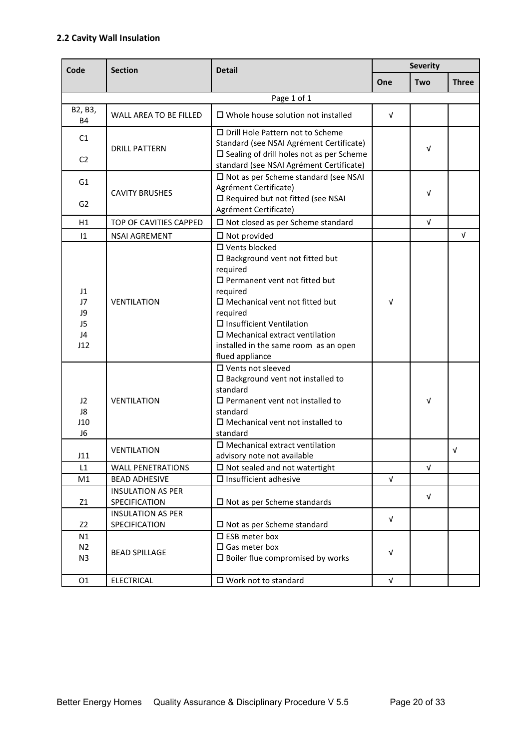## <span id="page-19-0"></span>**2.2 Cavity Wall Insulation**

| Code                                          | <b>Section</b>           | <b>Detail</b>                                                                                                                                                                                                                                                                                                                             | <b>Severity</b> |            |              |  |
|-----------------------------------------------|--------------------------|-------------------------------------------------------------------------------------------------------------------------------------------------------------------------------------------------------------------------------------------------------------------------------------------------------------------------------------------|-----------------|------------|--------------|--|
|                                               |                          |                                                                                                                                                                                                                                                                                                                                           | One             | Two        | <b>Three</b> |  |
|                                               |                          | Page 1 of 1                                                                                                                                                                                                                                                                                                                               |                 |            |              |  |
| B2, B3,<br>B4                                 | WALL AREA TO BE FILLED   | $\Box$ Whole house solution not installed                                                                                                                                                                                                                                                                                                 | V               |            |              |  |
| C1                                            |                          | $\Box$ Drill Hole Pattern not to Scheme<br>Standard (see NSAI Agrément Certificate)                                                                                                                                                                                                                                                       |                 |            |              |  |
| C <sub>2</sub>                                | <b>DRILL PATTERN</b>     | $\square$ Sealing of drill holes not as per Scheme<br>standard (see NSAI Agrément Certificate)                                                                                                                                                                                                                                            |                 | V          |              |  |
| G <sub>1</sub>                                |                          | $\square$ Not as per Scheme standard (see NSAI<br>Agrément Certificate)                                                                                                                                                                                                                                                                   |                 |            |              |  |
| G <sub>2</sub>                                | <b>CAVITY BRUSHES</b>    | □ Required but not fitted (see NSAI<br>Agrément Certificate)                                                                                                                                                                                                                                                                              |                 | V          |              |  |
| H1                                            | TOP OF CAVITIES CAPPED   | $\square$ Not closed as per Scheme standard                                                                                                                                                                                                                                                                                               |                 | $\sqrt{ }$ |              |  |
| $\overline{11}$                               | <b>NSAI AGREMENT</b>     | $\Box$ Not provided                                                                                                                                                                                                                                                                                                                       |                 |            | $\sqrt{ }$   |  |
| J1<br>J7<br>J9<br>J <sub>5</sub><br>J4<br>J12 | <b>VENTILATION</b>       | $\square$ Vents blocked<br>$\square$ Background vent not fitted but<br>required<br>$\square$ Permanent vent not fitted but<br>required<br>$\Box$ Mechanical vent not fitted but<br>required<br>$\square$ Insufficient Ventilation<br>$\square$ Mechanical extract ventilation<br>installed in the same room as an open<br>flued appliance | $\sqrt{ }$      |            |              |  |
| J2<br>J8<br>J10<br>J <sub>6</sub>             | <b>VENTILATION</b>       | □ Vents not sleeved<br>$\square$ Background vent not installed to<br>standard<br>$\square$ Permanent vent not installed to<br>standard<br>$\square$ Mechanical vent not installed to<br>standard                                                                                                                                          |                 | V          |              |  |
| J11                                           | <b>VENTILATION</b>       | $\square$ Mechanical extract ventilation<br>advisory note not available                                                                                                                                                                                                                                                                   |                 |            | v            |  |
| L1                                            | <b>WALL PENETRATIONS</b> | $\Box$ Not sealed and not watertight                                                                                                                                                                                                                                                                                                      |                 | $\sqrt{ }$ |              |  |
| M1                                            | <b>BEAD ADHESIVE</b>     | $\square$ Insufficient adhesive                                                                                                                                                                                                                                                                                                           | $\sqrt{ }$      |            |              |  |
|                                               | <b>INSULATION AS PER</b> |                                                                                                                                                                                                                                                                                                                                           |                 | V          |              |  |
| Z1                                            | SPECIFICATION            | $\Box$ Not as per Scheme standards                                                                                                                                                                                                                                                                                                        |                 |            |              |  |
|                                               | <b>INSULATION AS PER</b> |                                                                                                                                                                                                                                                                                                                                           | $\sqrt{ }$      |            |              |  |
| Z <sub>2</sub><br>N1                          | SPECIFICATION            | $\Box$ Not as per Scheme standard<br>$\square$ ESB meter box                                                                                                                                                                                                                                                                              |                 |            |              |  |
| N <sub>2</sub><br>N3                          | <b>BEAD SPILLAGE</b>     | $\square$ Gas meter box<br>$\square$ Boiler flue compromised by works                                                                                                                                                                                                                                                                     | V               |            |              |  |
| 01                                            | <b>ELECTRICAL</b>        | $\square$ Work not to standard                                                                                                                                                                                                                                                                                                            | $\sqrt{ }$      |            |              |  |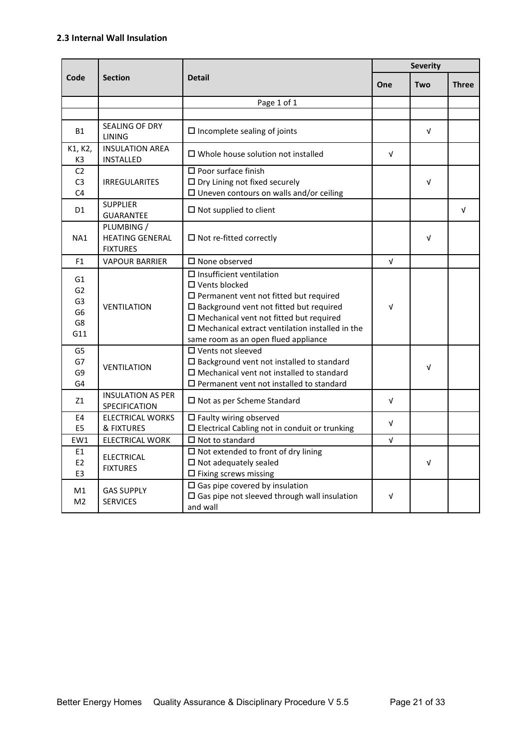#### <span id="page-20-0"></span>**2.3 Internal Wall Insulation**

|                                                                       |                                                         |                                                                                                                                                                                                                                                                                                                                  | <b>Severity</b> |            |              |
|-----------------------------------------------------------------------|---------------------------------------------------------|----------------------------------------------------------------------------------------------------------------------------------------------------------------------------------------------------------------------------------------------------------------------------------------------------------------------------------|-----------------|------------|--------------|
| Code                                                                  | <b>Section</b>                                          | <b>Detail</b>                                                                                                                                                                                                                                                                                                                    | One             | Two        | <b>Three</b> |
|                                                                       |                                                         | Page 1 of 1                                                                                                                                                                                                                                                                                                                      |                 |            |              |
|                                                                       |                                                         |                                                                                                                                                                                                                                                                                                                                  |                 |            |              |
| <b>B1</b>                                                             | SEALING OF DRY<br>LINING                                | $\square$ Incomplete sealing of joints                                                                                                                                                                                                                                                                                           |                 | V          |              |
| K1, K2,<br>K3                                                         | <b>INSULATION AREA</b><br><b>INSTALLED</b>              | $\Box$ Whole house solution not installed                                                                                                                                                                                                                                                                                        | $\sqrt{ }$      |            |              |
| C <sub>2</sub><br>C <sub>3</sub><br>C <sub>4</sub>                    | <b>IRREGULARITES</b>                                    | $\square$ Poor surface finish<br>$\Box$ Dry Lining not fixed securely<br>$\square$ Uneven contours on walls and/or ceiling                                                                                                                                                                                                       |                 | V          |              |
| D1                                                                    | <b>SUPPLIER</b><br><b>GUARANTEE</b>                     | $\square$ Not supplied to client                                                                                                                                                                                                                                                                                                 |                 |            | $\sqrt{ }$   |
| NA1                                                                   | PLUMBING /<br><b>HEATING GENERAL</b><br><b>FIXTURES</b> | $\Box$ Not re-fitted correctly                                                                                                                                                                                                                                                                                                   |                 | $\sqrt{ }$ |              |
| F <sub>1</sub>                                                        | <b>VAPOUR BARRIER</b>                                   | $\Box$ None observed                                                                                                                                                                                                                                                                                                             | $\sqrt{ }$      |            |              |
| G1<br>G <sub>2</sub><br>G <sub>3</sub><br>G <sub>6</sub><br>G8<br>G11 | <b>VENTILATION</b>                                      | $\square$ Insufficient ventilation<br>$\square$ Vents blocked<br>$\square$ Permanent vent not fitted but required<br>$\square$ Background vent not fitted but required<br>$\square$ Mechanical vent not fitted but required<br>$\square$ Mechanical extract ventilation installed in the<br>same room as an open flued appliance | $\sqrt{ }$      |            |              |
| G5<br>G7<br>G9<br>G4                                                  | <b>VENTILATION</b>                                      | $\Box$ Vents not sleeved<br>$\square$ Background vent not installed to standard<br>$\Box$ Mechanical vent not installed to standard<br>$\square$ Permanent vent not installed to standard                                                                                                                                        |                 | $\sqrt{ }$ |              |
| Z1                                                                    | <b>INSULATION AS PER</b><br>SPECIFICATION               | $\Box$ Not as per Scheme Standard                                                                                                                                                                                                                                                                                                | $\sqrt{ }$      |            |              |
| E4<br>E <sub>5</sub>                                                  | <b>ELECTRICAL WORKS</b><br>& FIXTURES                   | $\square$ Faulty wiring observed<br>$\square$ Electrical Cabling not in conduit or trunking                                                                                                                                                                                                                                      | $\sqrt{ }$      |            |              |
| EW1                                                                   | <b>ELECTRICAL WORK</b>                                  | $\square$ Not to standard                                                                                                                                                                                                                                                                                                        | $\sqrt{ }$      |            |              |
| E1<br>E <sub>2</sub><br>E <sub>3</sub>                                | <b>ELECTRICAL</b><br><b>FIXTURES</b>                    | $\Box$ Not extended to front of dry lining<br>$\Box$ Not adequately sealed<br>$\square$ Fixing screws missing                                                                                                                                                                                                                    |                 | V          |              |
| M1<br>M <sub>2</sub>                                                  | <b>GAS SUPPLY</b><br><b>SERVICES</b>                    | $\Box$ Gas pipe covered by insulation<br>$\square$ Gas pipe not sleeved through wall insulation<br>and wall                                                                                                                                                                                                                      | $\sqrt{ }$      |            |              |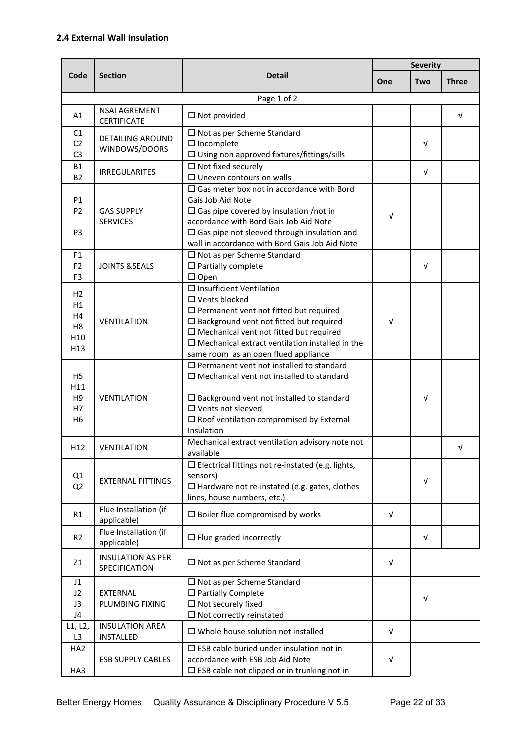#### <span id="page-21-0"></span>**2.4 External Wall Insulation**

|                                                                                    |                                            |                                                                                                                                                                                                                                                                                                                          | <b>Severity</b> |            |              |
|------------------------------------------------------------------------------------|--------------------------------------------|--------------------------------------------------------------------------------------------------------------------------------------------------------------------------------------------------------------------------------------------------------------------------------------------------------------------------|-----------------|------------|--------------|
| Code                                                                               | <b>Section</b>                             | <b>Detail</b>                                                                                                                                                                                                                                                                                                            | One             | Two        | <b>Three</b> |
|                                                                                    |                                            | Page 1 of 2                                                                                                                                                                                                                                                                                                              |                 |            |              |
| A1                                                                                 | <b>NSAI AGREMENT</b><br><b>CERTIFICATE</b> | $\square$ Not provided                                                                                                                                                                                                                                                                                                   |                 |            | $\sqrt{ }$   |
| C1<br>C <sub>2</sub><br>C <sub>3</sub>                                             | <b>DETAILING AROUND</b><br>WINDOWS/DOORS   | $\square$ Not as per Scheme Standard<br>$\square$ Incomplete<br>$\square$ Using non approved fixtures/fittings/sills                                                                                                                                                                                                     |                 | V          |              |
| <b>B1</b><br><b>B2</b>                                                             | <b>IRREGULARITES</b>                       | $\square$ Not fixed securely<br>$\square$ Uneven contours on walls                                                                                                                                                                                                                                                       |                 | $\sqrt{ }$ |              |
| <b>P1</b><br>P <sub>2</sub><br>P <sub>3</sub>                                      | <b>GAS SUPPLY</b><br><b>SERVICES</b>       | $\Box$ Gas meter box not in accordance with Bord<br>Gais Job Aid Note<br>$\Box$ Gas pipe covered by insulation /not in<br>accordance with Bord Gais Job Aid Note<br>$\square$ Gas pipe not sleeved through insulation and<br>wall in accordance with Bord Gais Job Aid Note                                              | V               |            |              |
| F <sub>1</sub><br>F <sub>2</sub><br>F <sub>3</sub>                                 | <b>JOINTS &amp;SEALS</b>                   | $\square$ Not as per Scheme Standard<br>$\square$ Partially complete<br>$\square$ Open                                                                                                                                                                                                                                   |                 | V          |              |
| H <sub>2</sub><br>H1<br>H4<br>H <sub>8</sub><br>H <sub>10</sub><br>H <sub>13</sub> | <b>VENTILATION</b>                         | □ Insufficient Ventilation<br>$\square$ Vents blocked<br>$\square$ Permanent vent not fitted but required<br>$\square$ Background vent not fitted but required<br>$\square$ Mechanical vent not fitted but required<br>$\square$ Mechanical extract ventilation installed in the<br>same room as an open flued appliance | v               |            |              |
| H <sub>5</sub><br>H11<br>H <sub>9</sub><br>H7<br>H <sub>6</sub>                    | <b>VENTILATION</b>                         | $\Box$ Permanent vent not installed to standard<br>$\Box$ Mechanical vent not installed to standard<br>$\square$ Background vent not installed to standard<br>$\square$ Vents not sleeved<br>$\square$ Roof ventilation compromised by External<br>Insulation                                                            |                 | V          |              |
| H <sub>12</sub>                                                                    | <b>VENTILATION</b>                         | Mechanical extract ventilation advisory note not<br>available                                                                                                                                                                                                                                                            |                 |            | v            |
| Q1<br>Q <sub>2</sub>                                                               | <b>EXTERNAL FITTINGS</b>                   | $\square$ Electrical fittings not re-instated (e.g. lights,<br>sensors)<br>$\Box$ Hardware not re-instated (e.g. gates, clothes<br>lines, house numbers, etc.)                                                                                                                                                           |                 | V          |              |
| R1                                                                                 | Flue Installation (if<br>applicable)       | $\square$ Boiler flue compromised by works                                                                                                                                                                                                                                                                               | $\sqrt{ }$      |            |              |
| R <sub>2</sub>                                                                     | Flue Installation (if<br>applicable)       | $\Box$ Flue graded incorrectly                                                                                                                                                                                                                                                                                           |                 | V          |              |
| Z1                                                                                 | <b>INSULATION AS PER</b><br>SPECIFICATION  | $\square$ Not as per Scheme Standard                                                                                                                                                                                                                                                                                     | $\sqrt{ }$      |            |              |
| J1<br>J2<br>J3<br>J4                                                               | EXTERNAL<br>PLUMBING FIXING                | □ Not as per Scheme Standard<br>$\square$ Partially Complete<br>$\square$ Not securely fixed<br>$\square$ Not correctly reinstated                                                                                                                                                                                       |                 | $\sqrt{ }$ |              |
| L1, L2,<br>L <sub>3</sub>                                                          | <b>INSULATION AREA</b><br><b>INSTALLED</b> | $\square$ Whole house solution not installed                                                                                                                                                                                                                                                                             | $\sqrt{ }$      |            |              |
| HA <sub>2</sub><br>HA3                                                             | <b>ESB SUPPLY CABLES</b>                   | $\square$ ESB cable buried under insulation not in<br>accordance with ESB Job Aid Note<br>$\square$ ESB cable not clipped or in trunking not in                                                                                                                                                                          | V               |            |              |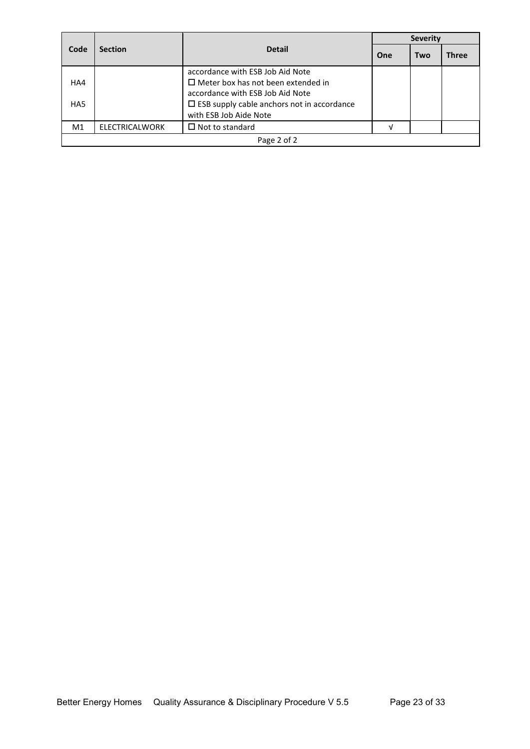| Code            | <b>Section</b> | <b>Detail</b>                                        | <b>Severity</b> |     |              |  |  |
|-----------------|----------------|------------------------------------------------------|-----------------|-----|--------------|--|--|
|                 |                |                                                      | One             | Two | <b>Three</b> |  |  |
|                 |                | accordance with ESB Job Aid Note                     |                 |     |              |  |  |
| HA4             |                | $\Box$ Meter box has not been extended in            |                 |     |              |  |  |
|                 |                | accordance with ESB Job Aid Note                     |                 |     |              |  |  |
| HA <sub>5</sub> |                | $\square$ ESB supply cable anchors not in accordance |                 |     |              |  |  |
|                 |                | with ESB Job Aide Note                               |                 |     |              |  |  |
| M <sub>1</sub>  | ELECTRICALWORK | $\Box$ Not to standard                               | M               |     |              |  |  |
|                 | Page 2 of 2    |                                                      |                 |     |              |  |  |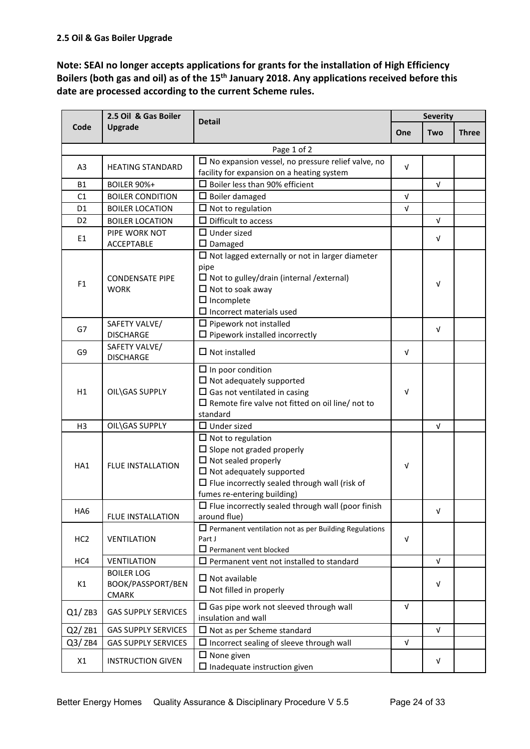<span id="page-23-0"></span>**Note: SEAI no longer accepts applications for grants for the installation of High Efficiency Boilers (both gas and oil) as of the 15th January 2018. Any applications received before this date are processed according to the current Scheme rules.**

|                 | 2.5 Oil & Gas Boiler                                   | <b>Detail</b>                                                                                                                                                                                                        |            | <b>Severity</b> |              |
|-----------------|--------------------------------------------------------|----------------------------------------------------------------------------------------------------------------------------------------------------------------------------------------------------------------------|------------|-----------------|--------------|
| Code            | Upgrade                                                |                                                                                                                                                                                                                      | One        | Two             | <b>Three</b> |
|                 |                                                        | Page 1 of 2                                                                                                                                                                                                          |            |                 |              |
| A <sub>3</sub>  | <b>HEATING STANDARD</b>                                | $\Box$ No expansion vessel, no pressure relief valve, no<br>facility for expansion on a heating system                                                                                                               | V          |                 |              |
| <b>B1</b>       | <b>BOILER 90%+</b>                                     | $\square$ Boiler less than 90% efficient                                                                                                                                                                             |            | $\sqrt{ }$      |              |
| C1              | <b>BOILER CONDITION</b>                                | $\Box$ Boiler damaged                                                                                                                                                                                                | V          |                 |              |
| D <sub>1</sub>  | <b>BOILER LOCATION</b>                                 | $\Box$ Not to regulation                                                                                                                                                                                             | $\sqrt{ }$ |                 |              |
| D <sub>2</sub>  | <b>BOILER LOCATION</b>                                 | $\Box$ Difficult to access                                                                                                                                                                                           |            | $\sqrt{ }$      |              |
| E1              | PIPE WORK NOT<br><b>ACCEPTABLE</b>                     | $\Box$ Under sized<br>$\square$ Damaged                                                                                                                                                                              |            | V               |              |
|                 | <b>CONDENSATE PIPE</b>                                 | $\Box$ Not lagged externally or not in larger diameter<br>pipe<br>$\Box$ Not to gulley/drain (internal / external)                                                                                                   |            |                 |              |
| F <sub>1</sub>  | <b>WORK</b>                                            | $\Box$ Not to soak away<br>$\Box$ Incomplete<br>$\Box$ Incorrect materials used                                                                                                                                      |            | V               |              |
| G7              | SAFETY VALVE/<br><b>DISCHARGE</b>                      | $\Box$ Pipework not installed<br>$\square$ Pipework installed incorrectly                                                                                                                                            |            | V               |              |
| G9              | SAFETY VALVE/<br><b>DISCHARGE</b>                      | $\Box$ Not installed                                                                                                                                                                                                 | v          |                 |              |
| H1              | OIL\GAS SUPPLY                                         | $\Box$ In poor condition<br>$\Box$ Not adequately supported<br>$\Box$ Gas not ventilated in casing<br>$\Box$ Remote fire valve not fitted on oil line/ not to<br>standard                                            | $\sqrt{ }$ |                 |              |
| H <sub>3</sub>  | OIL\GAS SUPPLY                                         | $\Box$ Under sized                                                                                                                                                                                                   |            | $\sqrt{ }$      |              |
| HA1             | <b>FLUE INSTALLATION</b>                               | $\Box$ Not to regulation<br>$\Box$ Slope not graded properly<br>$\Box$ Not sealed properly<br>$\Box$ Not adequately supported<br>$\Box$ Flue incorrectly sealed through wall (risk of<br>fumes re-entering building) | v          |                 |              |
| HA6             | <b>FLUE INSTALLATION</b>                               | $\Box$ Flue incorrectly sealed through wall (poor finish<br>around flue)                                                                                                                                             |            | V               |              |
| HC <sub>2</sub> | <b>VENTILATION</b>                                     | $\Box$ Permanent ventilation not as per Building Regulations<br>Part J<br>$\Box$ Permanent vent blocked                                                                                                              | V          |                 |              |
| HC4             | <b>VENTILATION</b>                                     | $\Box$ Permanent vent not installed to standard                                                                                                                                                                      |            | $\sqrt{ }$      |              |
| K1              | <b>BOILER LOG</b><br>BOOK/PASSPORT/BEN<br><b>CMARK</b> | $\Box$ Not available<br>$\square$ Not filled in properly                                                                                                                                                             |            | $\sqrt{ }$      |              |
| Q1/ZB3          | <b>GAS SUPPLY SERVICES</b>                             | $\square$ Gas pipe work not sleeved through wall<br>insulation and wall                                                                                                                                              | V          |                 |              |
| Q2/ZB1          | <b>GAS SUPPLY SERVICES</b>                             | $\Box$ Not as per Scheme standard                                                                                                                                                                                    |            | $\sqrt{ }$      |              |
| Q3/ZB4          | <b>GAS SUPPLY SERVICES</b>                             | $\Box$ Incorrect sealing of sleeve through wall                                                                                                                                                                      | $\sqrt{ }$ |                 |              |
| X1              | <b>INSTRUCTION GIVEN</b>                               | $\Box$ None given<br>$\square$ Inadequate instruction given                                                                                                                                                          |            | V               |              |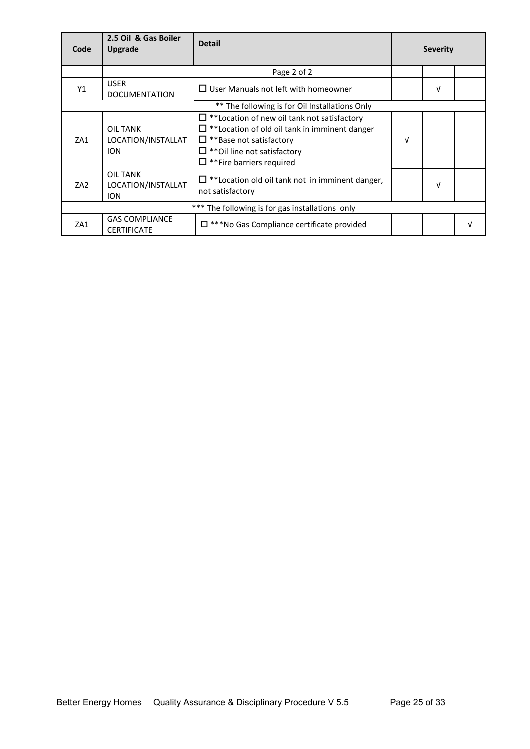| Code                                           | 2.5 Oil & Gas Boiler<br>Upgrade              | <b>Detail</b>                                                                                                                                                                                                         |   | <b>Severity</b> |  |
|------------------------------------------------|----------------------------------------------|-----------------------------------------------------------------------------------------------------------------------------------------------------------------------------------------------------------------------|---|-----------------|--|
|                                                |                                              | Page 2 of 2                                                                                                                                                                                                           |   |                 |  |
| Y1                                             | <b>USER</b><br><b>DOCUMENTATION</b>          | $\Box$ User Manuals not left with homeowner                                                                                                                                                                           |   | V               |  |
| ** The following is for Oil Installations Only |                                              |                                                                                                                                                                                                                       |   |                 |  |
| ZA1                                            | OIL TANK<br>LOCATION/INSTALLAT<br><b>ION</b> | $\Box$ **Location of new oil tank not satisfactory<br>$\Box$ **Location of old oil tank in imminent danger<br>$\Box$ **Base not satisfactory<br>$\Box$ **Oil line not satisfactory<br>$\Box$ **Fire barriers required | V |                 |  |
| ZA <sub>2</sub>                                | OIL TANK<br>LOCATION/INSTALLAT<br><b>ION</b> | $\Box$ **Location old oil tank not in imminent danger,<br>not satisfactory                                                                                                                                            |   | V               |  |
|                                                |                                              | *** The following is for gas installations only                                                                                                                                                                       |   |                 |  |
| ZA1                                            | <b>GAS COMPLIANCE</b><br><b>CERTIFICATE</b>  | $\Box$ ***No Gas Compliance certificate provided                                                                                                                                                                      |   |                 |  |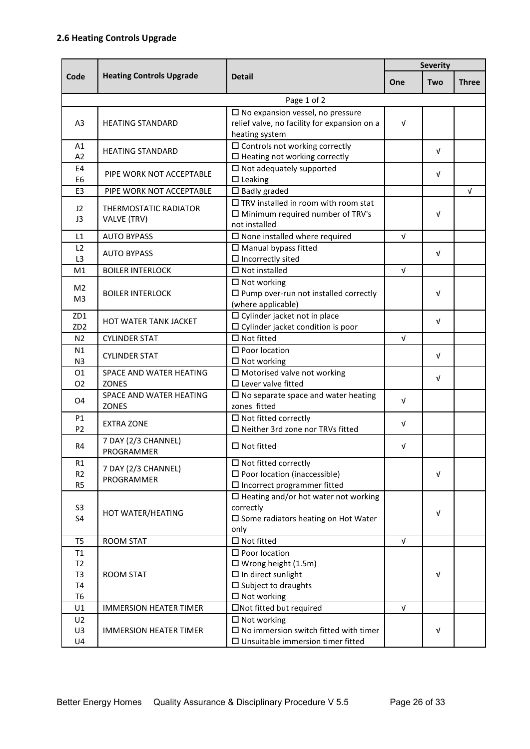<span id="page-25-0"></span>

|                                                    |                                             |                                                                                                                                                 | <b>Severity</b> |            |              |
|----------------------------------------------------|---------------------------------------------|-------------------------------------------------------------------------------------------------------------------------------------------------|-----------------|------------|--------------|
| Code                                               | <b>Heating Controls Upgrade</b>             | <b>Detail</b>                                                                                                                                   | One             | Two        | <b>Three</b> |
|                                                    |                                             | Page 1 of 2                                                                                                                                     |                 |            |              |
| A <sub>3</sub>                                     | <b>HEATING STANDARD</b>                     | $\square$ No expansion vessel, no pressure<br>relief valve, no facility for expansion on a<br>heating system                                    | $\sqrt{ }$      |            |              |
| A1<br>A2                                           | <b>HEATING STANDARD</b>                     | $\square$ Controls not working correctly<br>$\square$ Heating not working correctly                                                             |                 | v          |              |
| E4<br>E <sub>6</sub>                               | PIPE WORK NOT ACCEPTABLE                    | $\square$ Not adequately supported<br>$\Box$ Leaking                                                                                            |                 |            |              |
| E <sub>3</sub>                                     | PIPE WORK NOT ACCEPTABLE                    | $\square$ Badly graded                                                                                                                          |                 |            | $\sqrt{ }$   |
| 12<br>J <sub>3</sub>                               | <b>THERMOSTATIC RADIATOR</b><br>VALVE (TRV) | $\Box$ TRV installed in room with room stat<br>$\square$ Minimum required number of TRV's<br>not installed                                      |                 | v          |              |
| L1                                                 | <b>AUTO BYPASS</b>                          | $\sqrt{ }$                                                                                                                                      |                 |            |              |
| L <sub>2</sub><br>L <sub>3</sub>                   | <b>AUTO BYPASS</b>                          | $\square$ Manual bypass fitted<br>$\Box$ Incorrectly sited                                                                                      |                 | v          |              |
| M <sub>1</sub>                                     | <b>BOILER INTERLOCK</b>                     | $\square$ Not installed                                                                                                                         | $\sqrt{ }$      |            |              |
| M <sub>2</sub><br>M <sub>3</sub>                   | <b>BOILER INTERLOCK</b>                     | $\Box$ Not working<br>$\square$ Pump over-run not installed correctly<br>(where applicable)                                                     |                 | v          |              |
| ZD1<br>ZD <sub>2</sub>                             | HOT WATER TANK JACKET                       | $\square$ Cylinder jacket not in place<br>$\Box$ Cylinder jacket condition is poor                                                              |                 | v          |              |
| N <sub>2</sub>                                     | <b>CYLINDER STAT</b>                        | $\square$ Not fitted                                                                                                                            | V               |            |              |
| N1<br>N <sub>3</sub>                               | <b>CYLINDER STAT</b>                        | $\square$ Poor location<br>$\Box$ Not working                                                                                                   |                 | $\sqrt{ }$ |              |
| 01<br>02                                           | SPACE AND WATER HEATING<br><b>ZONES</b>     | $\square$ Motorised valve not working<br>$\square$ Lever valve fitted                                                                           |                 | v          |              |
| O <sub>4</sub>                                     | SPACE AND WATER HEATING<br>ZONES            | $\square$ No separate space and water heating<br>zones fitted                                                                                   | V               |            |              |
| <b>P1</b><br>P <sub>2</sub>                        | <b>EXTRA ZONE</b>                           | $\square$ Not fitted correctly<br>□ Neither 3rd zone nor TRVs fitted                                                                            | V               |            |              |
| R4                                                 | 7 DAY (2/3 CHANNEL)<br>PROGRAMMER           | $\Box$ Not fitted                                                                                                                               | V               |            |              |
| R1<br>R <sub>2</sub><br>R <sub>5</sub>             | 7 DAY (2/3 CHANNEL)<br>PROGRAMMER           | $\Box$ Not fitted correctly<br>$\square$ Poor location (inaccessible)<br>$\square$ Incorrect programmer fitted                                  |                 | $\sqrt{ }$ |              |
| S <sub>3</sub><br><b>S4</b>                        | HOT WATER/HEATING                           | $\square$ Heating and/or hot water not working<br>correctly<br>$\square$ Some radiators heating on Hot Water<br>only                            |                 | v          |              |
| T <sub>5</sub>                                     | <b>ROOM STAT</b>                            | $\square$ Not fitted                                                                                                                            | $\sqrt{ }$      |            |              |
| T1<br>T2<br>T <sub>3</sub><br>T4<br>T <sub>6</sub> | <b>ROOM STAT</b>                            | $\square$ Poor location<br>$\Box$ Wrong height (1.5m)<br>$\square$ In direct sunlight<br>$\square$ Subject to draughts<br>$\square$ Not working |                 | V          |              |
| U1                                                 | <b>IMMERSION HEATER TIMER</b>               | □Not fitted but required                                                                                                                        | $\sqrt{ }$      |            |              |
| U <sub>2</sub><br>U3<br>U <sub>4</sub>             | <b>IMMERSION HEATER TIMER</b>               | $\Box$ Not working<br>$\square$ No immersion switch fitted with timer<br>$\square$ Unsuitable immersion timer fitted                            |                 | V          |              |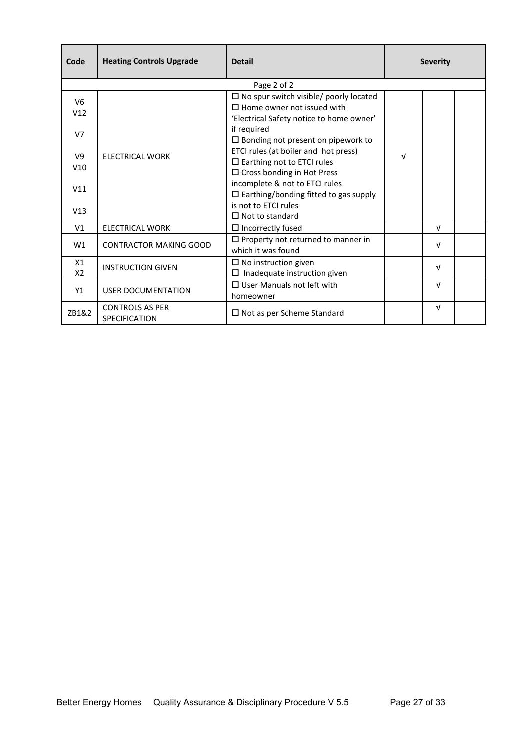| Code                  | <b>Heating Controls Upgrade</b>                | <b>Detail</b>                                                                                                                     | <b>Severity</b> |  |  |
|-----------------------|------------------------------------------------|-----------------------------------------------------------------------------------------------------------------------------------|-----------------|--|--|
|                       |                                                | Page 2 of 2                                                                                                                       |                 |  |  |
| V <sub>6</sub><br>V12 |                                                | $\square$ No spur switch visible/ poorly located<br>$\Box$ Home owner not issued with<br>'Electrical Safety notice to home owner' |                 |  |  |
| V <sub>7</sub>        | <b>ELECTRICAL WORK</b>                         | if required<br>$\square$ Bonding not present on pipework to                                                                       |                 |  |  |
| V <sub>9</sub><br>V10 |                                                | ETCI rules (at boiler and hot press)<br>$\square$ Earthing not to ETCI rules<br>$\square$ Cross bonding in Hot Press              | V               |  |  |
| V11                   |                                                | incomplete & not to ETCI rules<br>$\square$ Earthing/bonding fitted to gas supply                                                 |                 |  |  |
| V13                   |                                                | is not to ETCI rules<br>$\Box$ Not to standard                                                                                    |                 |  |  |
| V <sub>1</sub>        | <b>ELECTRICAL WORK</b>                         | $\Box$ Incorrectly fused                                                                                                          | $\sqrt{ }$      |  |  |
| W1                    | <b>CONTRACTOR MAKING GOOD</b>                  | $\Box$ Property not returned to manner in<br>which it was found                                                                   | $\sqrt{ }$      |  |  |
| X1<br>X <sub>2</sub>  | <b>INSTRUCTION GIVEN</b>                       | $\Box$ No instruction given<br>Inadequate instruction given<br>□                                                                  | $\sqrt{ }$      |  |  |
| Y1                    | <b>USER DOCUMENTATION</b>                      | $\Box$ User Manuals not left with<br>homeowner                                                                                    | V               |  |  |
| ZB1&2                 | <b>CONTROLS AS PER</b><br><b>SPECIFICATION</b> | $\square$ Not as per Scheme Standard                                                                                              | $\sqrt{ }$      |  |  |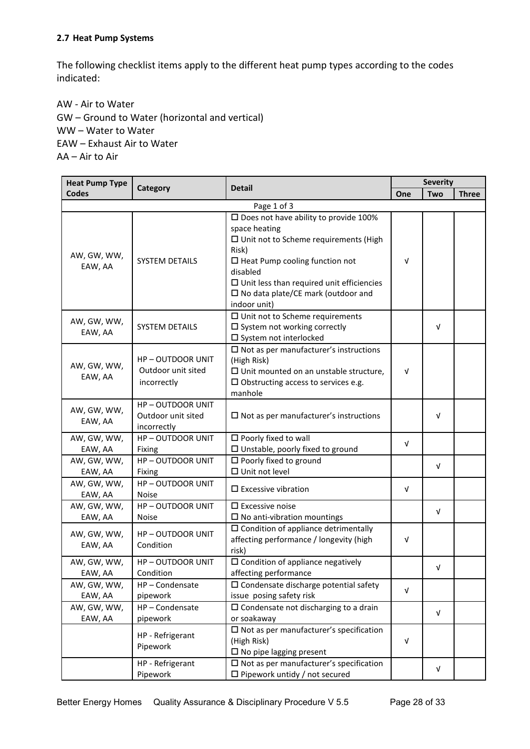#### <span id="page-27-0"></span>**2.7 Heat Pump Systems**

The following checklist items apply to the different heat pump types according to the codes indicated:

AW - Air to Water GW – Ground to Water (horizontal and vertical) WW – Water to Water EAW – Exhaust Air to Water AA – Air to Air

| <b>Heat Pump Type</b>  |                                                             |                                                                                                                                                                                                                                                                                                  | <b>Severity</b> |            |              |
|------------------------|-------------------------------------------------------------|--------------------------------------------------------------------------------------------------------------------------------------------------------------------------------------------------------------------------------------------------------------------------------------------------|-----------------|------------|--------------|
| <b>Codes</b>           | Category                                                    | <b>Detail</b>                                                                                                                                                                                                                                                                                    | One             | <b>Two</b> | <b>Three</b> |
|                        |                                                             | Page 1 of 3                                                                                                                                                                                                                                                                                      |                 |            |              |
| AW, GW, WW,<br>EAW, AA | <b>SYSTEM DETAILS</b>                                       | $\square$ Does not have ability to provide 100%<br>space heating<br>□ Unit not to Scheme requirements (High<br>Risk)<br>$\Box$ Heat Pump cooling function not<br>disabled<br>$\square$ Unit less than required unit efficiencies<br>$\square$ No data plate/CE mark (outdoor and<br>indoor unit) | $\sqrt{ }$      |            |              |
| AW, GW, WW,<br>EAW, AA | <b>SYSTEM DETAILS</b>                                       | $\square$ Unit not to Scheme requirements<br>$\square$ System not working correctly<br>□ System not interlocked                                                                                                                                                                                  |                 | V          |              |
| AW, GW, WW,<br>EAW, AA | <b>HP-OUTDOOR UNIT</b><br>Outdoor unit sited<br>incorrectly | $\square$ Not as per manufacturer's instructions<br>(High Risk)<br>$\Box$ Unit mounted on an unstable structure,<br>$\square$ Obstructing access to services e.g.<br>manhole                                                                                                                     | $\sqrt{ }$      |            |              |
| AW, GW, WW,<br>EAW, AA | <b>HP-OUTDOOR UNIT</b><br>Outdoor unit sited<br>incorrectly | $\Box$ Not as per manufacturer's instructions                                                                                                                                                                                                                                                    |                 | $\sqrt{ }$ |              |
| AW, GW, WW,<br>EAW, AA | <b>HP-OUTDOOR UNIT</b><br>Fixing                            | $\square$ Poorly fixed to wall<br>$\square$ Unstable, poorly fixed to ground                                                                                                                                                                                                                     | $\sqrt{ }$      |            |              |
| AW, GW, WW,<br>EAW, AA | <b>HP-OUTDOOR UNIT</b><br>Fixing                            | $\square$ Poorly fixed to ground<br>$\Box$ Unit not level                                                                                                                                                                                                                                        |                 | V          |              |
| AW, GW, WW,<br>EAW, AA | <b>HP-OUTDOOR UNIT</b><br><b>Noise</b>                      | $\square$ Excessive vibration                                                                                                                                                                                                                                                                    | $\sqrt{ }$      |            |              |
| AW, GW, WW,<br>EAW, AA | <b>HP-OUTDOOR UNIT</b><br><b>Noise</b>                      | $\square$ Excessive noise<br>$\square$ No anti-vibration mountings                                                                                                                                                                                                                               |                 | V          |              |
| AW, GW, WW,<br>EAW, AA | <b>HP-OUTDOOR UNIT</b><br>Condition                         | $\square$ Condition of appliance detrimentally<br>affecting performance / longevity (high<br>risk)                                                                                                                                                                                               | $\sqrt{ }$      |            |              |
| AW, GW, WW,<br>EAW, AA | <b>HP-OUTDOOR UNIT</b><br>Condition                         | $\square$ Condition of appliance negatively<br>affecting performance                                                                                                                                                                                                                             |                 | V          |              |
| AW, GW, WW,<br>EAW, AA | HP-Condensate<br>pipework                                   | $\square$ Condensate discharge potential safety<br>issue posing safety risk                                                                                                                                                                                                                      | V               |            |              |
| AW, GW, WW,<br>EAW, AA | HP-Condensate<br>pipework                                   | $\square$ Condensate not discharging to a drain<br>or soakaway                                                                                                                                                                                                                                   |                 | $\sqrt{ }$ |              |
|                        | HP - Refrigerant<br>Pipework                                | $\square$ Not as per manufacturer's specification<br>(High Risk)<br>$\square$ No pipe lagging present                                                                                                                                                                                            | $\sqrt{ }$      |            |              |
|                        | HP - Refrigerant<br>Pipework                                | $\square$ Not as per manufacturer's specification<br>$\Box$ Pipework untidy / not secured                                                                                                                                                                                                        |                 | V          |              |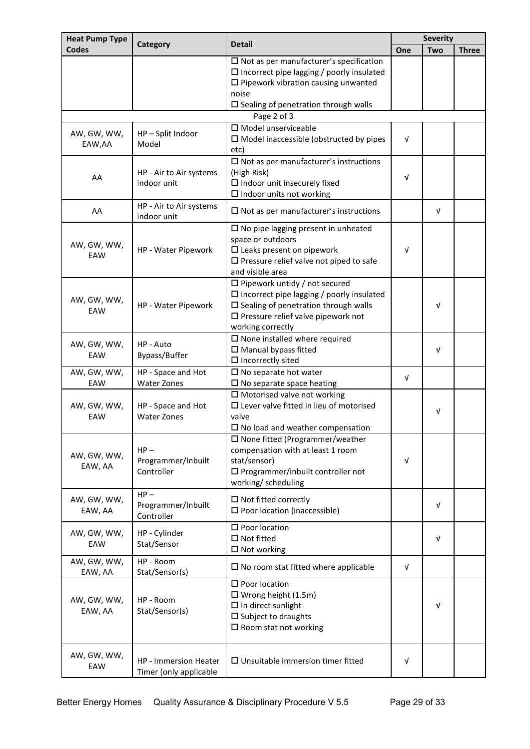| <b>Heat Pump Type</b>  |                                                                                                                                                                                                           |                                                                                                                                                                                                                   |            | <b>Severity</b> |              |
|------------------------|-----------------------------------------------------------------------------------------------------------------------------------------------------------------------------------------------------------|-------------------------------------------------------------------------------------------------------------------------------------------------------------------------------------------------------------------|------------|-----------------|--------------|
| <b>Codes</b>           | Category                                                                                                                                                                                                  | <b>Detail</b>                                                                                                                                                                                                     | One        | <b>Two</b>      | <b>Three</b> |
|                        |                                                                                                                                                                                                           | $\square$ Not as per manufacturer's specification<br>$\Box$ Incorrect pipe lagging / poorly insulated<br>$\square$ Pipework vibration causing unwanted<br>noise<br>$\square$ Sealing of penetration through walls |            |                 |              |
|                        |                                                                                                                                                                                                           | Page 2 of 3                                                                                                                                                                                                       |            |                 |              |
| AW, GW, WW,<br>EAW, AA | HP-Split Indoor<br>Model                                                                                                                                                                                  | $\square$ Model unserviceable<br>$\Box$ Model inaccessible (obstructed by pipes<br>etc)                                                                                                                           | $\sqrt{ }$ |                 |              |
| AA                     | $\square$ Not as per manufacturer's instructions<br>HP - Air to Air systems<br>(High Risk)<br>$\square$ Indoor unit insecurely fixed<br>indoor unit<br>$\square$ Indoor units not working                 |                                                                                                                                                                                                                   |            |                 |              |
| AA                     | HP - Air to Air systems<br>indoor unit                                                                                                                                                                    | $\square$ Not as per manufacturer's instructions                                                                                                                                                                  |            | V               |              |
| AW, GW, WW,<br>EAW     | $\square$ No pipe lagging present in unheated<br>space or outdoors<br>HP - Water Pipework<br>$\square$ Leaks present on pipework<br>$\square$ Pressure relief valve not piped to safe<br>and visible area |                                                                                                                                                                                                                   | $\sqrt{ }$ |                 |              |
| AW, GW, WW,<br>EAW     | HP - Water Pipework                                                                                                                                                                                       | $\Box$ Pipework untidy / not secured<br>$\Box$ Incorrect pipe lagging / poorly insulated<br>$\square$ Sealing of penetration through walls<br>$\square$ Pressure relief valve pipework not<br>working correctly   |            | V               |              |
| AW, GW, WW,<br>EAW     | HP - Auto<br>Bypass/Buffer                                                                                                                                                                                | $\square$ None installed where required<br>□ Manual bypass fitted<br>$\Box$ Incorrectly sited                                                                                                                     |            | V               |              |
| AW, GW, WW,<br>EAW     | HP - Space and Hot<br><b>Water Zones</b>                                                                                                                                                                  | $\square$ No separate hot water<br>$\square$ No separate space heating                                                                                                                                            | $\sqrt{ }$ |                 |              |
| AW, GW, WW,<br>EAW     | HP - Space and Hot<br><b>Water Zones</b>                                                                                                                                                                  | $\square$ Motorised valve not working<br>$\square$ Lever valve fitted in lieu of motorised<br>valve<br>$\square$ No load and weather compensation                                                                 |            | V               |              |
| AW, GW, WW,<br>EAW, AA | $HP -$<br>Programmer/Inbuilt<br>Controller                                                                                                                                                                | $\square$ None fitted (Programmer/weather<br>compensation with at least 1 room<br>stat/sensor)<br>$\square$ Programmer/inbuilt controller not<br>working/ scheduling                                              | V          |                 |              |
| AW, GW, WW,<br>EAW, AA | $HP -$<br>Programmer/Inbuilt<br>Controller                                                                                                                                                                | $\square$ Not fitted correctly<br>$\square$ Poor location (inaccessible)                                                                                                                                          |            | $\sqrt{ }$      |              |
| AW, GW, WW,<br>EAW     | HP - Cylinder<br>Stat/Sensor                                                                                                                                                                              | $\square$ Poor location<br>$\Box$ Not fitted<br>$\square$ Not working                                                                                                                                             |            | V               |              |
| AW, GW, WW,<br>EAW, AA | HP - Room<br>Stat/Sensor(s)                                                                                                                                                                               | $\square$ No room stat fitted where applicable                                                                                                                                                                    | $\sqrt{ }$ |                 |              |
| AW, GW, WW,<br>EAW, AA | HP - Room<br>Stat/Sensor(s)                                                                                                                                                                               | $\square$ Poor location<br>$\Box$ Wrong height (1.5m)<br>$\square$ In direct sunlight<br>$\square$ Subject to draughts<br>$\square$ Room stat not working                                                         |            | V               |              |
| AW, GW, WW,<br>EAW     | HP - Immersion Heater<br>Timer (only applicable                                                                                                                                                           | $\square$ Unsuitable immersion timer fitted                                                                                                                                                                       | V          |                 |              |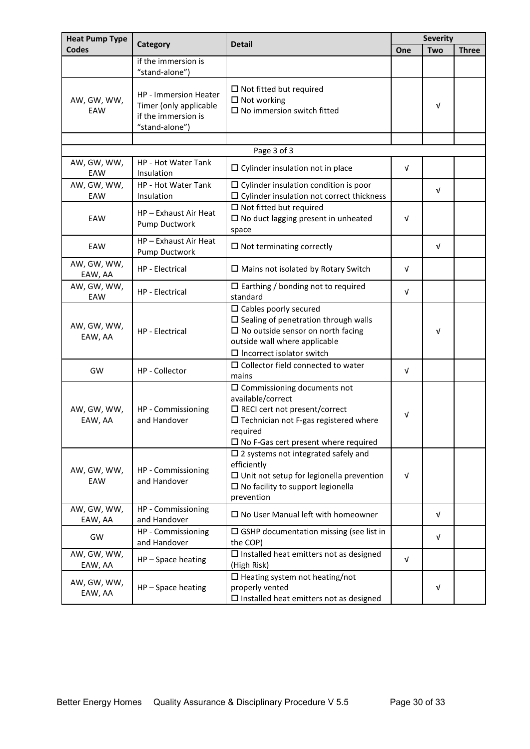| <b>Heat Pump Type</b>  |                                                                                                                                    | <b>Detail</b>                                                                                                                                                                                                       |            | <b>Severity</b> |              |  |
|------------------------|------------------------------------------------------------------------------------------------------------------------------------|---------------------------------------------------------------------------------------------------------------------------------------------------------------------------------------------------------------------|------------|-----------------|--------------|--|
| <b>Codes</b>           | Category                                                                                                                           |                                                                                                                                                                                                                     | One        | Two             | <b>Three</b> |  |
|                        | if the immersion is<br>"stand-alone")                                                                                              |                                                                                                                                                                                                                     |            |                 |              |  |
| AW, GW, WW,<br>EAW     | <b>HP</b> - Immersion Heater<br>Timer (only applicable<br>if the immersion is<br>"stand-alone")                                    | $\Box$ Not fitted but required<br>$\Box$ Not working<br>$\square$ No immersion switch fitted                                                                                                                        |            | V               |              |  |
|                        |                                                                                                                                    | Page 3 of 3                                                                                                                                                                                                         |            |                 |              |  |
| AW, GW, WW,<br>EAW     | <b>HP - Hot Water Tank</b><br>Insulation                                                                                           | $\Box$ Cylinder insulation not in place                                                                                                                                                                             | V          |                 |              |  |
| AW, GW, WW,<br>EAW     | HP - Hot Water Tank<br>Insulation                                                                                                  | $\Box$ Cylinder insulation condition is poor<br>$\Box$ Cylinder insulation not correct thickness                                                                                                                    |            | V               |              |  |
| EAW                    | $\Box$ Not fitted but required<br>HP - Exhaust Air Heat<br>$\square$ No duct lagging present in unheated<br>Pump Ductwork<br>space |                                                                                                                                                                                                                     | v          |                 |              |  |
| EAW                    | HP - Exhaust Air Heat<br>Pump Ductwork                                                                                             | $\Box$ Not terminating correctly                                                                                                                                                                                    |            | v               |              |  |
| AW, GW, WW,<br>EAW, AA | HP - Electrical                                                                                                                    | $\Box$ Mains not isolated by Rotary Switch                                                                                                                                                                          | v          |                 |              |  |
| AW, GW, WW,<br>EAW     | HP - Electrical                                                                                                                    | $\Box$ Earthing / bonding not to required<br>standard                                                                                                                                                               | v          |                 |              |  |
| AW, GW, WW,<br>EAW, AA | HP - Electrical                                                                                                                    | $\square$ Cables poorly secured<br>$\square$ Sealing of penetration through walls<br>$\square$ No outside sensor on north facing<br>outside wall where applicable<br>$\square$ Incorrect isolator switch            |            | v               |              |  |
| GW                     | HP - Collector                                                                                                                     | $\Box$ Collector field connected to water<br>mains                                                                                                                                                                  | $\sqrt{ }$ |                 |              |  |
| AW, GW, WW,<br>EAW, AA | HP - Commissioning<br>and Handover                                                                                                 | $\square$ Commissioning documents not<br>available/correct<br>$\Box$ RECI cert not present/correct<br>$\square$ Technician not F-gas registered where<br>required<br>$\square$ No F-Gas cert present where required | V          |                 |              |  |
| AW, GW, WW,<br>EAW     | HP - Commissioning<br>and Handover                                                                                                 | $\square$ 2 systems not integrated safely and<br>efficiently<br>$\Box$ Unit not setup for legionella prevention<br>$\square$ No facility to support legionella<br>prevention                                        | v          |                 |              |  |
| AW, GW, WW,<br>EAW, AA | HP - Commissioning<br>and Handover                                                                                                 | $\square$ No User Manual left with homeowner                                                                                                                                                                        |            | V               |              |  |
| GW                     | HP - Commissioning<br>and Handover                                                                                                 | $\Box$ GSHP documentation missing (see list in<br>the COP)                                                                                                                                                          |            | V               |              |  |
| AW, GW, WW,<br>EAW, AA | HP-Space heating                                                                                                                   | $\square$ Installed heat emitters not as designed<br>(High Risk)                                                                                                                                                    | V          |                 |              |  |
| AW, GW, WW,<br>EAW, AA | HP-Space heating                                                                                                                   | $\square$ Heating system not heating/not<br>properly vented<br>$\square$ Installed heat emitters not as designed                                                                                                    |            | v               |              |  |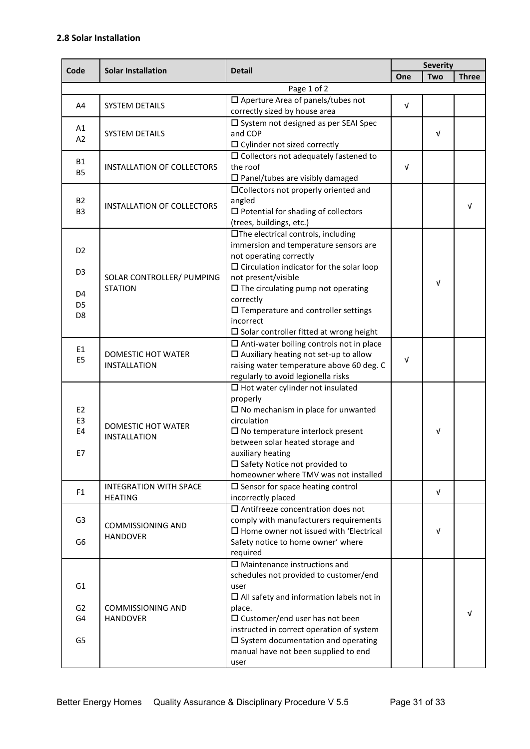<span id="page-30-0"></span>

| Code                 | <b>Solar Installation</b>                       | <b>Detail</b>                                                                         | <b>Severity</b> |            |              |
|----------------------|-------------------------------------------------|---------------------------------------------------------------------------------------|-----------------|------------|--------------|
|                      |                                                 |                                                                                       | One             | <b>Two</b> | <b>Three</b> |
|                      |                                                 | Page 1 of 2                                                                           |                 |            |              |
| A4                   | <b>SYSTEM DETAILS</b>                           | $\square$ Aperture Area of panels/tubes not<br>correctly sized by house area          | $\sqrt{ }$      |            |              |
| A1                   |                                                 | □ System not designed as per SEAI Spec                                                |                 |            |              |
| A2                   | <b>SYSTEM DETAILS</b>                           | and COP<br>$\Box$ Cylinder not sized correctly                                        |                 | v          |              |
| <b>B1</b>            |                                                 | $\square$ Collectors not adequately fastened to                                       |                 |            |              |
| <b>B5</b>            | <b>INSTALLATION OF COLLECTORS</b>               | the roof<br>$\square$ Panel/tubes are visibly damaged                                 | v               |            |              |
|                      |                                                 | □Collectors not properly oriented and                                                 |                 |            |              |
| <b>B2</b>            | INSTALLATION OF COLLECTORS                      | angled                                                                                |                 |            | $\sqrt{ }$   |
| B <sub>3</sub>       |                                                 | $\square$ Potential for shading of collectors                                         |                 |            |              |
|                      |                                                 | (trees, buildings, etc.)                                                              |                 |            |              |
|                      |                                                 | □The electrical controls, including                                                   |                 |            |              |
| D <sub>2</sub>       |                                                 | immersion and temperature sensors are<br>not operating correctly                      |                 |            |              |
|                      |                                                 | $\square$ Circulation indicator for the solar loop                                    |                 |            |              |
| D <sub>3</sub>       | SOLAR CONTROLLER/ PUMPING                       | not present/visible                                                                   |                 |            |              |
|                      | <b>STATION</b>                                  | $\square$ The circulating pump not operating                                          |                 | V          |              |
| D4<br>D <sub>5</sub> |                                                 | correctly                                                                             |                 |            |              |
| D <sub>8</sub>       |                                                 | $\square$ Temperature and controller settings                                         |                 |            |              |
|                      |                                                 | incorrect                                                                             |                 |            |              |
|                      |                                                 | $\square$ Solar controller fitted at wrong height                                     |                 |            |              |
| E <sub>1</sub>       |                                                 | $\Box$ Anti-water boiling controls not in place                                       |                 |            |              |
| E <sub>5</sub>       | DOMESTIC HOT WATER                              | $\Box$ Auxiliary heating not set-up to allow                                          | $\sqrt{ }$      |            |              |
|                      | <b>INSTALLATION</b>                             | raising water temperature above 60 deg. C<br>regularly to avoid legionella risks      |                 |            |              |
|                      |                                                 | $\square$ Hot water cylinder not insulated                                            |                 |            |              |
|                      |                                                 | properly                                                                              |                 |            |              |
| E <sub>2</sub>       |                                                 | $\square$ No mechanism in place for unwanted                                          |                 |            |              |
| E <sub>3</sub>       |                                                 | circulation                                                                           |                 |            |              |
| E4                   | DOMESTIC HOT WATER<br><b>INSTALLATION</b>       | $\square$ No temperature interlock present                                            |                 | ν          |              |
|                      |                                                 | between solar heated storage and                                                      |                 |            |              |
| E7                   |                                                 | auxiliary heating                                                                     |                 |            |              |
|                      |                                                 | □ Safety Notice not provided to                                                       |                 |            |              |
|                      |                                                 | homeowner where TMV was not installed                                                 |                 |            |              |
| F <sub>1</sub>       | <b>INTEGRATION WITH SPACE</b><br><b>HEATING</b> | $\square$ Sensor for space heating control<br>incorrectly placed                      |                 | V          |              |
|                      |                                                 | $\square$ Antifreeze concentration does not                                           |                 |            |              |
| G <sub>3</sub>       |                                                 | comply with manufacturers requirements                                                |                 |            |              |
|                      | <b>COMMISSIONING AND</b>                        | $\square$ Home owner not issued with 'Electrical                                      |                 | v          |              |
| G <sub>6</sub>       | <b>HANDOVER</b>                                 | Safety notice to home owner' where                                                    |                 |            |              |
|                      |                                                 | required                                                                              |                 |            |              |
|                      |                                                 | $\square$ Maintenance instructions and                                                |                 |            |              |
|                      |                                                 | schedules not provided to customer/end                                                |                 |            |              |
| G1                   |                                                 | user                                                                                  |                 |            |              |
|                      |                                                 | $\Box$ All safety and information labels not in                                       |                 |            |              |
| G <sub>2</sub>       | <b>COMMISSIONING AND</b>                        | place.                                                                                |                 |            | V            |
| G4                   | <b>HANDOVER</b>                                 | $\square$ Customer/end user has not been<br>instructed in correct operation of system |                 |            |              |
| G5                   |                                                 | $\square$ System documentation and operating                                          |                 |            |              |
|                      |                                                 | manual have not been supplied to end                                                  |                 |            |              |
|                      |                                                 | user                                                                                  |                 |            |              |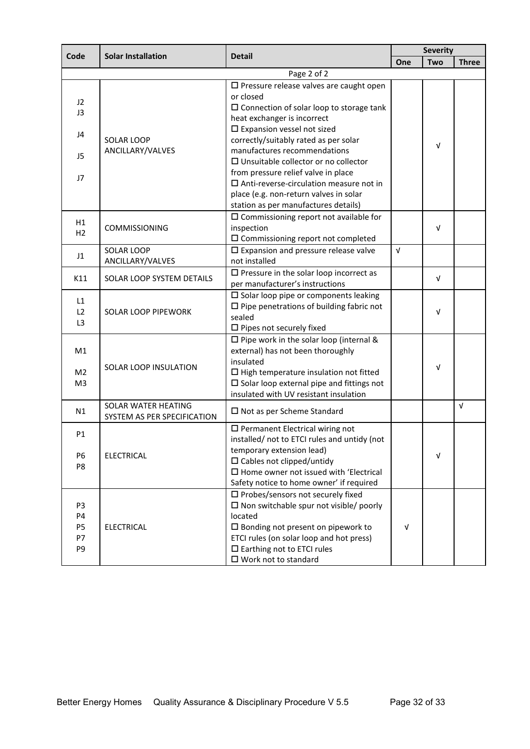| Code                                          |                                                    |                                                                                                                                                                                                                                                                                                                                                                                                                                                                                                      |            | <b>Severity</b> |              |  |
|-----------------------------------------------|----------------------------------------------------|------------------------------------------------------------------------------------------------------------------------------------------------------------------------------------------------------------------------------------------------------------------------------------------------------------------------------------------------------------------------------------------------------------------------------------------------------------------------------------------------------|------------|-----------------|--------------|--|
|                                               | <b>Solar Installation</b>                          | <b>Detail</b>                                                                                                                                                                                                                                                                                                                                                                                                                                                                                        | One        | Two             | <b>Three</b> |  |
|                                               |                                                    | Page 2 of 2                                                                                                                                                                                                                                                                                                                                                                                                                                                                                          |            |                 |              |  |
| J2<br>J3<br>J4<br>J5<br>J7                    | <b>SOLAR LOOP</b><br>ANCILLARY/VALVES              | $\square$ Pressure release valves are caught open<br>or closed<br>$\square$ Connection of solar loop to storage tank<br>heat exchanger is incorrect<br>$\square$ Expansion vessel not sized<br>correctly/suitably rated as per solar<br>manufactures recommendations<br>$\square$ Unsuitable collector or no collector<br>from pressure relief valve in place<br>$\square$ Anti-reverse-circulation measure not in<br>place (e.g. non-return valves in solar<br>station as per manufactures details) |            | $\sqrt{ }$      |              |  |
| H1<br>H <sub>2</sub>                          | COMMISSIONING                                      | $\square$ Commissioning report not available for<br>inspection<br>$\square$ Commissioning report not completed                                                                                                                                                                                                                                                                                                                                                                                       |            | V               |              |  |
| J1                                            | SOLAR LOOP<br>ANCILLARY/VALVES                     | $\square$ Expansion and pressure release valve<br>not installed                                                                                                                                                                                                                                                                                                                                                                                                                                      | $\sqrt{ }$ |                 |              |  |
| K11                                           | SOLAR LOOP SYSTEM DETAILS                          | $\square$ Pressure in the solar loop incorrect as<br>per manufacturer's instructions                                                                                                                                                                                                                                                                                                                                                                                                                 |            | V               |              |  |
| L1<br>L2<br>L <sub>3</sub>                    | <b>SOLAR LOOP PIPEWORK</b>                         | $\square$ Solar loop pipe or components leaking<br>$\square$ Pipe penetrations of building fabric not<br>sealed<br>$\square$ Pipes not securely fixed                                                                                                                                                                                                                                                                                                                                                |            | $\sqrt{ }$      |              |  |
| M1<br>M <sub>2</sub><br>M <sub>3</sub>        | SOLAR LOOP INSULATION                              | $\square$ Pipe work in the solar loop (internal &<br>external) has not been thoroughly<br>insulated<br>$\Box$ High temperature insulation not fitted<br>$\square$ Solar loop external pipe and fittings not<br>insulated with UV resistant insulation                                                                                                                                                                                                                                                |            | $\sqrt{ }$      |              |  |
| N1                                            | SOLAR WATER HEATING<br>SYSTEM AS PER SPECIFICATION | $\square$ Not as per Scheme Standard                                                                                                                                                                                                                                                                                                                                                                                                                                                                 |            |                 | $\sqrt{ }$   |  |
| P <sub>1</sub><br>P <sub>6</sub><br>P8        | <b>ELECTRICAL</b>                                  | $\square$ Permanent Electrical wiring not<br>installed/ not to ETCI rules and untidy (not<br>temporary extension lead)<br>$\square$ Cables not clipped/untidy<br>$\square$ Home owner not issued with 'Electrical<br>Safety notice to home owner' if required                                                                                                                                                                                                                                        |            | $\sqrt{ }$      |              |  |
| P3<br>P4<br><b>P5</b><br>P7<br>P <sub>9</sub> | <b>ELECTRICAL</b>                                  | $\square$ Probes/sensors not securely fixed<br>$\square$ Non switchable spur not visible/ poorly<br>located<br>$\square$ Bonding not present on pipework to<br>ETCI rules (on solar loop and hot press)<br>$\square$ Earthing not to ETCI rules<br>$\square$ Work not to standard                                                                                                                                                                                                                    | $\sqrt{ }$ |                 |              |  |